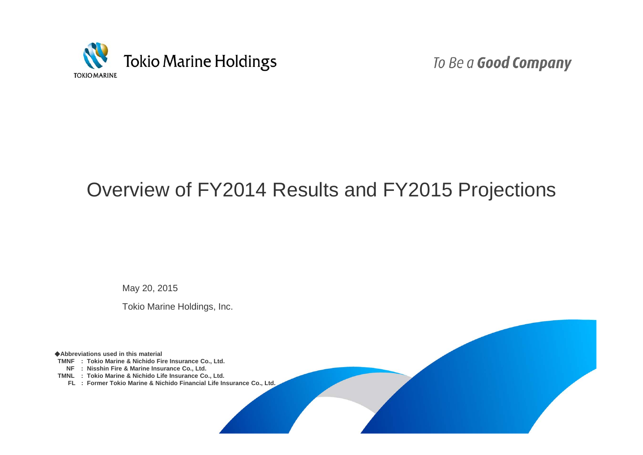

To Be a Good Company

## Overview of FY2014 Results and FY2015 Projections

May 20, 2015

Tokio Marine Holdings, Inc.

◆**Abbreviations used in this material**

**TMNF : Tokio Marine & Nichido Fire Insurance Co., Ltd.**

**NF : Nisshin Fire & Marine Insurance Co., Ltd.**

**TMNL : Tokio Marine & Nichido Life Insurance Co., Ltd.**

**FL : Former Tokio Marine & Nichido Financial Life Insurance Co., Ltd.**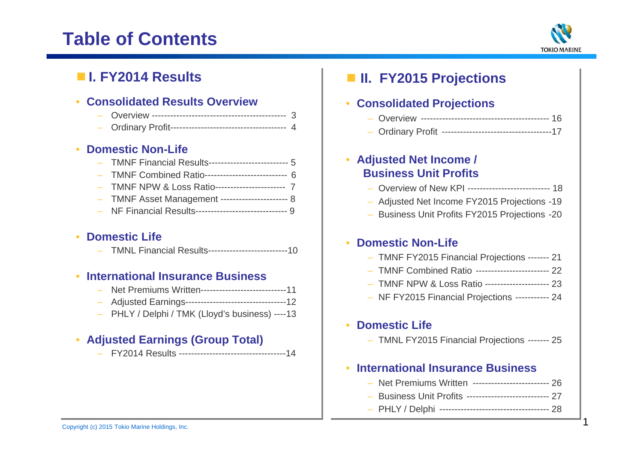## **Table of Contents**



## ■ **I. FY2014 Results**

### • **Consolidated Results Overview**

### • **Domestic Non-Life**

| - TMNF Financial Results------------------------- 5    |  |
|--------------------------------------------------------|--|
| - TMNF Combined Ratio--------------------------- 6     |  |
| - TMNF NPW & Loss Ratio------------------------- 7     |  |
| - TMNF Asset Management -------------------------- 8   |  |
| - NF Financial Results------------------------------ 9 |  |

## • **Domestic Life**

TMNL Financial Results--------------------------10

### • **International Insurance Business**

- Net Premiums Written----------------------------11
- Adjusted Earnings---------------------------------12
- PHLY / Delphi / TMK (Lloyd's business) ----13

## • **Adjusted Earnings (Group Total)**

FY2014 Results -----------------------------------14

## ■ **II. FY2015 Projections**

#### $\bullet$ **Consolidated Projections**

- Overview ------------------------------------------ 16
- Ordinary Profit ------------------------------------17

 $\bullet$  **Adjusted Net Income / Business Unit Profits**

- Overview of New KPI --------------------------- 18
- Adjusted Net Income FY2015 Projections -19
- Business Unit Profits FY2015 Projections -20

## • **Domestic Non-Life**

- TMNF FY2015 Financial Projections ------- 21
- TMNF Combined Ratio ------------------------ 22
- TMNF NPW & Loss Ratio --------------------- 23
- NF FY2015 Financial Projections ----------- 24

#### •**Domestic Life**

– TMNL FY2015 Financial Projections ------- 25

#### •**International Insurance Business**

- Net Premiums Written ------------------------- 26
- Business Unit Profits --------------------------- 27
- PHLY / Delphi ------------------------------------ 28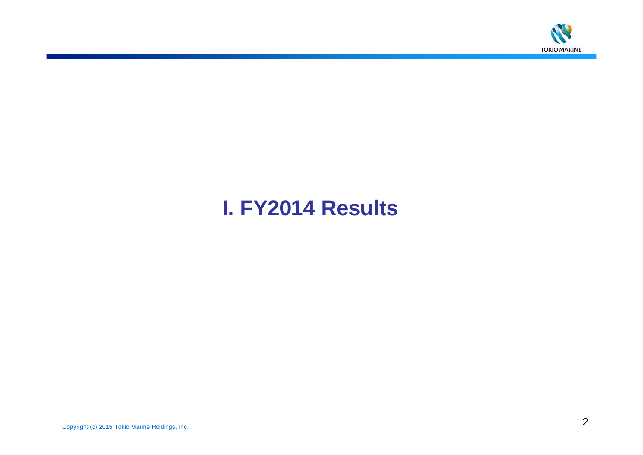

# **I. FY2014 Results**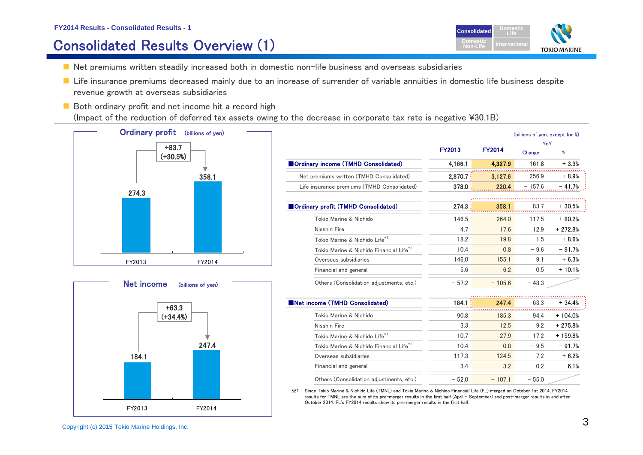#### **FY2014 Results - Consolidated Results - 1**

## Consolidated Results Overview (1)



- $\blacksquare$  Net premiums written steadily increased both in domestic non-life business and overseas subsidiaries
- Life insurance premiums decreased mainly due to an increase of surrender of variable annuities in domestic life business despite revenue growth at overseas subsidiaries
- $\blacksquare$  Both ordinary profit and net income hit a record high (Impact of the reduction of deferred tax assets owing to the decrease in corporate tax rate is negative ¥30.1B)





| <b>FY2013</b> | <b>FY2014</b> | Change   | %                                      |
|---------------|---------------|----------|----------------------------------------|
| 4,166.1       | 4,327.9       | 161.8    | $+3.9%$                                |
| 2,870.7       | 3,127.6       | 256.9    | $+8.9%$                                |
| 378.0         | 220.4         | $-157.6$ | $-41.7%$                               |
|               |               |          |                                        |
| 274.3         | 358.1         | 83.7     | $+30.5%$                               |
| 146.5         | 264.0         | 117.5    | $+80.2%$                               |
| 4.7           | 17.6          | 12.9     | $+272.8%$                              |
| 18.2          | 19.8          | 1.5      | $+8.6%$                                |
| 10.4          | 0.8           | $-9.6$   | $-91.7%$                               |
| 146.0         | 155.1         | 9.1      | $+6.3%$                                |
| 5.6           | 6.2           | 0.5      | $+10.1%$                               |
| $-57.2$       | $-105.6$      | $-48.3$  |                                        |
|               |               |          |                                        |
|               |               | 63.3     | $+34.4%$                               |
| 90.8          | 185.3         | 94.4     | $+104.0%$                              |
| 3.3           | 12.5          | 9.2      | $+275.8%$                              |
| 10.7          | 27.9          | 17.2     | $+159.8%$                              |
| 10.4          | 0.8           | $-9.5$   | $-91.7%$                               |
| 117.3         | 124.5         | 7.2      | $+6.2%$                                |
| 3.4           | 3.2           | $-0.2$   | $-6.1%$                                |
|               | 184.1         | 247.4    | (billions of yen, except for %)<br>YoY |

※1 Since Tokio Marine & Nichido Life (TMNL) and Tokio Marine & Nichido Financial Life (FL) merged on October 1st 2014, FY2014 results for TMNL are the sum of its pre-merger results in the first half (April - September) and post-merger results in and after October 2014. FL's FY2014 results show its pre-merger results in the first half.

Others (Consolidation adjustments, etc.)  $-52.0 - 107.1 - 55.0$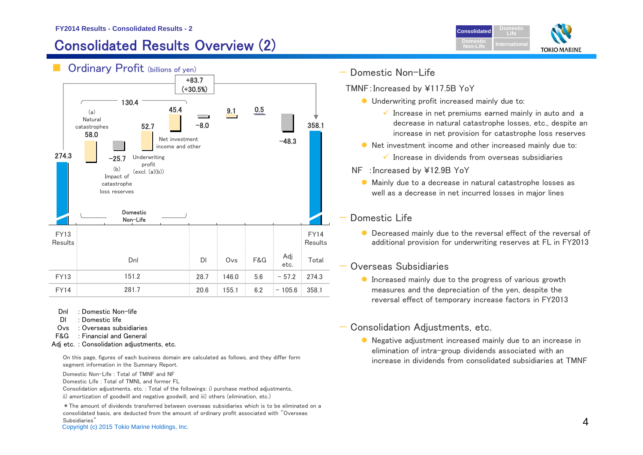## Consolidated Results Overview (2)



On this page, figures of each business domain are calculated as follows, and they differ form

Domestic Non-Life : Total of TMNF and NF

Domestic Life : Total of TMNL and former FL

Consolidation adjustments, etc. : Total of the followings: i) purchase method adjustments, ii) amortization of goodwill and negative goodwill, and iii) others (elimination, etc.)

Subsidiaries"<br>Copyright (c) 2015 Tokio Marine Holdings, Inc. 4. And the state of the state of the state of the state of the state of the state of the state of the state of the state of the state of the state of the state o \*The amount of dividends transferred between overseas subsidiaries which is to be eliminated on a consolidated basis, are deducted from the amount of ordinary profit associated with "Overseas Subsidiaries"



# Domestic Non-Life

- TMNF:Increased by ¥117.5B YoY
	- **O** Underwriting profit increased mainly due to:
		- $\checkmark$  Increase in net premiums earned mainly in auto and a decrease in natural catastrophe losses, etc., despite an increase in net provision for catastrophe loss reserves
	- Net investment income and other increased mainly due to:
		- $\checkmark$  Increase in dividends from overseas subsidiaries

**ConsolidatedDomesticNon-Life**

**DomesticLife**

**TOKIO MARINE** 

- NF :Increased by ¥12.9B YoY
	- Mainly due to a decrease in natural catastrophe losses as well as a decrease in net incurred losses in major lines

### Domestic Life

**O** Decreased mainly due to the reversal effect of the reversal of additional provision for underwriting reserves at FL in FY2013

### Overseas Subsidiaries

**Increased mainly due to the progress of various growth** measures and the depreciation of the yen, despite the reversal effect of temporary increase factors in FY2013

### — Consolidation Adjustments, etc.

 Negative adjustment increased mainly due to an increase in elimination of intra-group dividends associated with an increase in dividends from consolidated subsidiaries at TMNF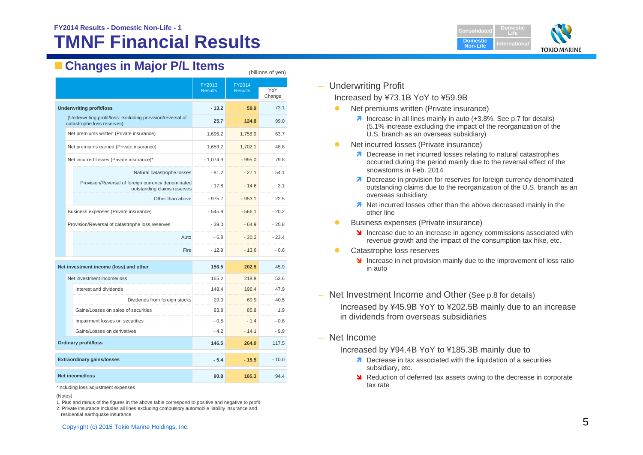## **TMNF Financial Results**



## **Changes in Major P/L Items**

|                                        |                                                                                   | FY2013     | FY2014         |               |
|----------------------------------------|-----------------------------------------------------------------------------------|------------|----------------|---------------|
|                                        | <b>Results</b>                                                                    |            | <b>Results</b> | YoY<br>Change |
| <b>Underwriting profit/loss</b>        |                                                                                   | $-13.2$    | 59.9           | 73.1          |
| catastrophe loss reserves)             | (Underwriting profit/loss: excluding provision/reversal of                        | 25.7       | 124.8          | 99.0          |
|                                        | Net premiums written (Private insurance)                                          | 1,695.2    | 1,758.9        | 63.7          |
|                                        | Net premiums earned (Private insurance)                                           | 1,653.2    | 1,702.1        | 48.8          |
|                                        | Net incurred losses (Private insurance)*                                          | $-1,074.9$ | $-995.0$       | 79.8          |
|                                        | Natural catastrophe losses                                                        | $-81.2$    | $-27.1$        | 54.1          |
|                                        | Provision/Reversal of foreign currency denominated<br>outstanding claims reserves | $-17.8$    | $-14.6$        | 3.1           |
|                                        | Other than above                                                                  | $-975.7$   | $-953.1$       | 22.5          |
|                                        | Business expenses (Private insurance)                                             | $-545.9$   | $-566.1$       | $-20.2$       |
|                                        | Provision/Reversal of catastrophe loss reserves                                   | $-39.0$    | $-64.9$        | $-25.8$       |
|                                        | Auto                                                                              | $-6.8$     | $-30.2$        | $-23.4$       |
|                                        | Fire                                                                              | $-12.9$    | $-13.6$        | $-0.6$        |
| Net investment income (loss) and other |                                                                                   | 156.5      | 202.5          | 45.9          |
| Net investment income/loss             |                                                                                   | 165.2      | 218.8          | 53.6          |
| Interest and dividends                 |                                                                                   | 148.4      | 196.4          | 47.9          |
|                                        | Dividends from foreign stocks                                                     | 29.3       | 69.9           | 40.5          |
|                                        | Gains/Losses on sales of securities                                               | 83.8       | 85.8           | 1.9           |
|                                        | Impairment losses on securities                                                   | $-0.5$     | $-1.4$         | - 0.8         |
| Gains/Losses on derivatives            |                                                                                   | $-4.2$     | $-14.1$        | $-9.9$        |
| <b>Ordinary profit/loss</b>            |                                                                                   | 146.5      | 264.0          | 117.5         |
| <b>Extraordinary gains/losses</b>      |                                                                                   | $-5.4$     | $-15.5$        | $-10.0$       |
| <b>Net income/loss</b>                 |                                                                                   | 90.8       | 185.3          | 94.4          |

\*Including loss adjustment expenses

1. Plus and minus of the figures in the above table correspond to positive and negative to profit

2. Private insurance includes all lines excluding compulsory automobile liability insurance and residential earthquake insurance

## – Underwriting Profit

(billions of yen)

#### Increased by ¥73.1B YoY to ¥59.9B

- $\bullet$  Net premiums written (Private insurance)
	- **1** Increase in all lines mainly in auto (+3.8%, See p.7 for details) (5.1% increase excluding the impact of the reorganization of the U.S. branch as an overseas subsidiary)
- $\bullet$  Net incurred losses (Private insurance)
	- **7** Decrease in net incurred losses relating to natural catastrophes occurred during the period mainly due to the reversal effect of the snowstorms in Feb. 2014
	- **7** Decrease in provision for reserves for foreign currency denominated outstanding claims due to the reorganization of the U.S. branch as an overseas subsidiary
	- **1** Net incurred losses other than the above decreased mainly in the other line
- $\bullet$  Business expenses (Private insurance)
	- **Increase due to an increase in agency commissions associated with** revenue growth and the impact of the consumption tax hike, etc.
- $\bullet$  Catastrophe loss reserves
	- Increase in net provision mainly due to the improvement of loss ratio in auto
- Net Investment Income and Other (See p.8 for details)

Increased by ¥45.9B YoY to ¥202.5B mainly due to an increase in dividends from overseas subsidiaries

– Net Income

Increased by ¥94.4B YoY to ¥185.3B mainly due to

- **7** Decrease in tax associated with the liquidation of a securities subsidiary, etc.
- **N** Reduction of deferred tax assets owing to the decrease in corporate tax rate

<sup>(</sup>Notes)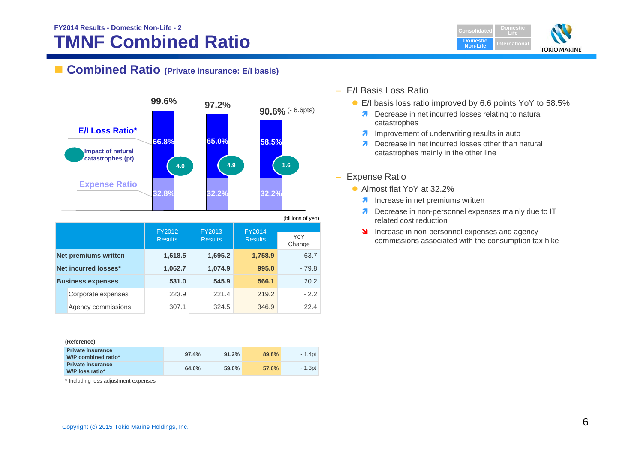## **TMNF Combined Ratio FY2014 Results - Domestic Non-Life - 2**



### ■ **Combined Ratio** (Private insurance: E/I basis)



### – E/I Basis Loss Ratio

- E/I basis loss ratio improved by 6.6 points YoY to 58.5%
	- **Decrease in net incurred losses relating to natural** catastrophes
	- **7** Improvement of underwriting results in auto
	- $\overline{\mathbf{z}}$  Decrease in net incurred losses other than natural catastrophes mainly in the other line
- Expense Ratio
	- Almost flat YoY at 32.2%
		- **A** Increase in net premiums written
		- $\overline{\mathbf{z}}$  Decrease in non-personnel expenses mainly due to IT related cost reduction
		- **Increase in non-personnel expenses and agency** commissions associated with the consumption tax hike

#### **(Reference)**

| <b>Private insurance</b><br>W/P combined ratio* | 97.4% | 91.2% | 89.8% | $-1.4$ pt |
|-------------------------------------------------|-------|-------|-------|-----------|
| <b>Private insurance</b><br>W/P loss ratio*     | 64.6% | 59.0% | 57.6% | - 1.3pt   |

Corporate expenses 223.9 221.4 219.2 - 2.2 Agency commissions 307.1 324.5 346.9 22.4

\* Including loss adjustment expenses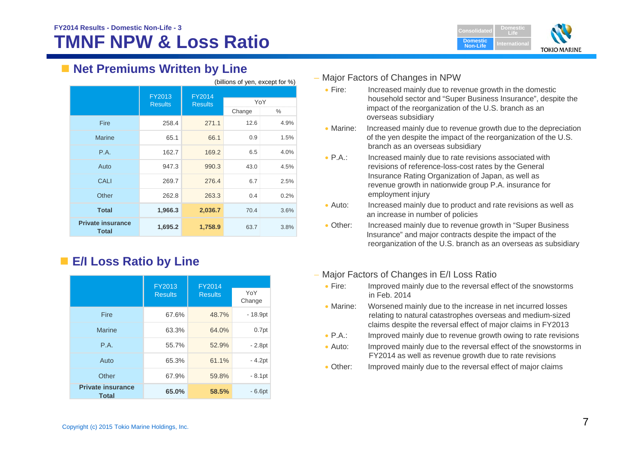

## **Net Premiums Written by Line**

| (billions of yen, except for %)   |                          |                                 |        |      |  |
|-----------------------------------|--------------------------|---------------------------------|--------|------|--|
|                                   | FY2013<br><b>Results</b> | <b>FY2014</b><br><b>Results</b> | YoY    |      |  |
|                                   |                          |                                 | Change | $\%$ |  |
| Fire                              | 258.4                    | 271.1                           | 12.6   | 4.9% |  |
| <b>Marine</b>                     | 65.1                     | 66.1                            | 0.9    | 1.5% |  |
| P.A.                              | 162.7                    | 169.2                           | 6.5    | 4.0% |  |
| Auto                              | 947.3                    | 990.3                           | 43.0   | 4.5% |  |
| <b>CALI</b>                       | 269.7                    | 276.4                           | 6.7    | 2.5% |  |
| Other                             | 262.8                    | 263.3                           | 0.4    | 0.2% |  |
| <b>Total</b>                      | 1,966.3                  | 2,036.7                         | 70.4   | 3.6% |  |
| <b>Private insurance</b><br>Total | 1,695.2                  | 1,758.9                         | 63.7   | 3.8% |  |

## **E/I Loss Ratio by Line**

|                                          | FY2013<br><b>FY2014</b> |                |                   |
|------------------------------------------|-------------------------|----------------|-------------------|
|                                          | <b>Results</b>          | <b>Results</b> | YoY<br>Change     |
| Fire                                     | 67.6%                   | 48.7%          | $-18.9pt$         |
| <b>Marine</b>                            | 63.3%                   | 64.0%          | 0.7 <sub>pt</sub> |
| P.A.                                     | 55.7%                   | 52.9%          | $-2.8pt$          |
| Auto                                     | 65.3%                   | 61.1%          | $-4.2pt$          |
| Other                                    | 67.9%                   | 59.8%          | $-8.1pt$          |
| <b>Private insurance</b><br><b>Total</b> | 65.0%                   | 58.5%          | $-6.6pt$          |

#### – Major Factors of Changes in NPW

- $\bullet$  Fire: Increased mainly due to revenue growth in the domestic household sector and "Super Business Insurance", despite the impact of the reorganization of the U.S. branch as an overseas subsidiary
- $\bullet$  Marine: Increased mainly due to revenue growth due to the depreciation of the yen despite the impact of the reorganization of the U.S. branch as an overseas subsidiary
- $\bullet$  P.A.: Increased mainly due to rate revisions associated with revisions of reference-loss-cost rates by the General Insurance Rating Organization of Japan, as well as revenue growth in nationwide group P.A. insurance for employment injury
- $\bullet$  Auto: Increased mainly due to product and rate revisions as well as an increase in number of policies
- Other: Increased mainly due to revenue growth in "Super Business" Insurance" and major contracts despite the impact of the reorganization of the U.S. branch as an overseas as subsidiary
- Major Factors of Changes in E/I Loss Ratio
	- $\bullet$  Fire: Improved mainly due to the reversal effect of the snowstorms in Feb. 2014
	- Marine: Worsened mainly due to the increase in net incurred losses relating to natural catastrophes overseas and medium-sized claims despite the reversal effect of major claims in FY2013
	- $\bullet$  P.A.: Improved mainly due to revenue growth owing to rate revisions
	- $\bullet$  Auto: Improved mainly due to the reversal effect of the snowstorms in FY2014 as well as revenue growth due to rate revisions
	- Other: Improved mainly due to the reversal effect of major claims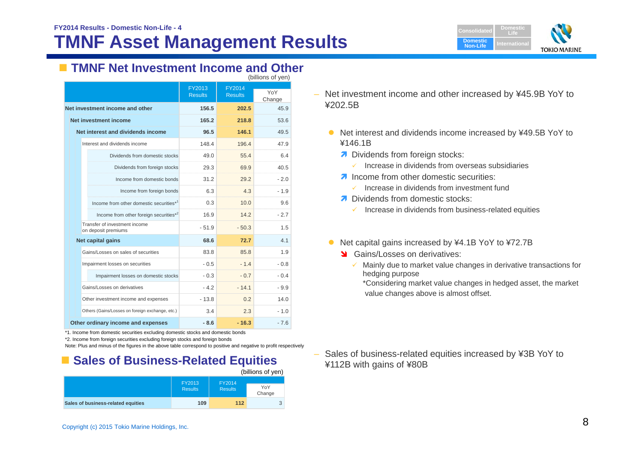## **TMNF Asset Management Results**



## **TMNF Net Investment Income and Other**

| (billions of yen)                                    |                          |                                 |               |
|------------------------------------------------------|--------------------------|---------------------------------|---------------|
|                                                      | FY2013<br><b>Results</b> | <b>FY2014</b><br><b>Results</b> | YoY<br>Change |
| Net investment income and other                      | 156.5                    | 202.5                           | 45.9          |
| Net investment income                                | 165.2                    | 218.8                           | 53.6          |
| Net interest and dividends income                    | 96.5                     | 146.1                           | 49.5          |
| Interest and dividends income                        | 148.4                    | 196.4                           | 47.9          |
| Dividends from domestic stocks                       | 49.0                     | 55.4                            | 6.4           |
| Dividends from foreign stocks                        | 29.3                     | 69.9                            | 40.5          |
| Income from domestic bonds                           | 31.2                     | 29.2                            | - 2.0         |
| Income from foreign bonds                            | 6.3                      | 4.3                             | $-1.9$        |
| Income from other domestic securities*1              | 0.3                      | 10.0                            | 9.6           |
| Income from other foreign securities*2               | 16.9                     | 142                             | $-2.7$        |
| Transfer of investment income<br>on deposit premiums | $-51.9$                  | $-50.3$                         | 1.5           |
| <b>Net capital gains</b>                             | 68.6                     | 72.7                            | 4.1           |
| Gains/Losses on sales of securities                  | 83.8                     | 85.8                            | 1.9           |
| Impairment losses on securities                      | $-0.5$                   | $-1.4$                          | - 0.8         |
| Impairment losses on domestic stocks                 | $-0.3$                   | $-0.7$                          | - 0.4         |
| Gains/Losses on derivatives                          | $-42$                    | $-14.1$                         | - 9.9         |
| Other investment income and expenses                 | $-13.8$                  | 0.2                             | 14.0          |
| Others (Gains/Losses on foreign exchange, etc.)      | 3.4                      | 2.3                             | $-1.0$        |
| Other ordinary income and expenses                   | $-8.6$                   | $-16.3$                         | - 7.6         |

\*1. Income from domestic securities excluding domestic stocks and domestic bonds

\*2. Income from foreign securities excluding foreign stocks and foreign bonds

Note: Plus and minus of the figures in the above table correspond to positive and negative to profit respectively

## **Example Sales of Business-Related Equities**

|                                    |                          |                          | (billions of yen) |
|------------------------------------|--------------------------|--------------------------|-------------------|
|                                    | FY2013<br><b>Results</b> | FY2014<br><b>Results</b> | YoY<br>Change     |
| Sales of business-related equities | 109                      | 112                      | $\Omega$          |

– Net investment income and other increased by ¥45.9B YoY to ¥202.5B

- $\bullet$  Net interest and dividends income increased by ¥49.5B YoY to ¥146.1B
	- Dividends from foreign stocks:
		- $\checkmark$  Increase in dividends from overseas subsidiaries
	- **A** Income from other domestic securities:
		- $\checkmark$  Increase in dividends from investment fund
	- **7** Dividends from domestic stocks:
		- $\checkmark$  Increase in dividends from business-related equities
- $\bullet$  Net capital gains increased by ¥4.1B YoY to ¥72.7B
	- Stains/Losses on derivatives:
		- $\checkmark$  Mainly due to market value changes in derivative transactions for hedging purpose

\*Considering market value changes in hedged asset, the market value changes above is almost offset.

 Sales of business-related equities increased by ¥3B YoY to ¥112B with gains of ¥80B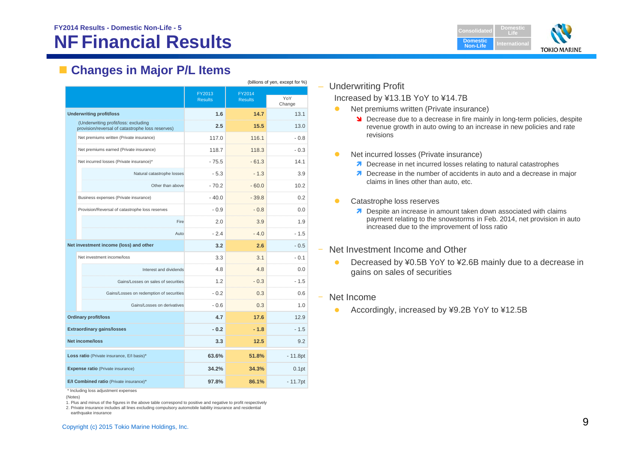## **NF Financial Results**



## **Changes in Major P/L Items**

| (billions of yen, except for %) |                                                                                          |                          |                                  |                   |
|---------------------------------|------------------------------------------------------------------------------------------|--------------------------|----------------------------------|-------------------|
|                                 |                                                                                          | FY2013<br><b>Results</b> | FY2014<br><b>Results</b>         | YoY<br>Change     |
|                                 | <b>Underwriting profit/loss</b>                                                          | 1.6                      | 14.7                             | 13.1              |
|                                 | (Underwriting profit/loss: excluding<br>provision/reversal of catastrophe loss reserves) | 2.5                      | 15.5                             | 13.0              |
|                                 | Net premiums written (Private insurance)                                                 | 117.0                    | 116.1                            | $-0.8$            |
|                                 | Net premiums earned (Private insurance)                                                  | 118.7                    | 118.3                            | $-0.3$            |
|                                 | Net incurred losses (Private insurance)*                                                 | $-75.5$                  | $-61.3$                          | 14.1              |
|                                 | Natural catastrophe losses                                                               | $-5.3$                   | $-1.3$                           | 3.9               |
|                                 | Other than above                                                                         | $-70.2$                  | $-60.0$                          | 10.2              |
|                                 | Business expenses (Private insurance)                                                    | $-40.0$                  | $-39.8$                          | 0.2               |
|                                 | Provision/Reversal of catastrophe loss reserves                                          | $-0.9$                   | $-0.8$<br>man in<br>mananananana | 0.0               |
|                                 | Fire                                                                                     | 2.0                      | 3.9                              | 1.9               |
|                                 | Auto                                                                                     | $-2.4$                   | $-4.0$                           | $-1.5$            |
|                                 | Net investment income (loss) and other                                                   | 3.2                      | 2.6                              | $-0.5$            |
|                                 | Net investment income/loss                                                               | 3.3                      | 3.1                              | $-0.1$            |
|                                 | Interest and dividends                                                                   | 4.8                      | 4.8                              | 0.0               |
|                                 | Gains/Losses on sales of securities                                                      | 1.2                      | $-0.3$                           | - 1.5             |
|                                 | Gains/Losses on redemption of securities                                                 | $-0.2$                   | 0.3                              | 0.6               |
|                                 | Gains/Losses on derivatives                                                              | $-0.6$                   | 0.3                              | 1.0               |
|                                 | <b>Ordinary profit/loss</b>                                                              | 4.7                      | 17.6                             | 12.9              |
|                                 | <b>Extraordinary gains/losses</b>                                                        | $-0.2$                   | $-1.8$                           | $-1.5$            |
|                                 | Net income/loss                                                                          | 3.3                      | 12.5                             | 9.2               |
|                                 | Loss ratio (Private insurance, E/I basis)*                                               | 63.6%                    | 51.8%                            | $-11.8pt$         |
|                                 | <b>Expense ratio</b> (Private insurance)                                                 | 34.2%                    | 34.3%                            | 0.1 <sub>pt</sub> |
|                                 | E/I Combined ratio (Private insurance)*                                                  | 97.8%                    | 86.1%                            | $-11.7pt$         |

\* Including loss adjustment expenses

1. Plus and minus of the figures in the above table correspond to positive and negative to profit respectively

2. Private insurance includes all lines excluding compulsory automobile liability insurance and residential earthquake insurance

– Underwriting Profit Increased by ¥13.1B YoY to ¥14.7B

- $\bullet$  Net premiums written (Private insurance)
	- **N** Decrease due to a decrease in fire mainly in long-term policies, despite revenue growth in auto owing to an increase in new policies and rate revisions
- $\bullet$  Net incurred losses (Private insurance)
	- **7** Decrease in net incurred losses relating to natural catastrophes
	- **7** Decrease in the number of accidents in auto and a decrease in major claims in lines other than auto, etc.
- $\bullet$  Catastrophe loss reserves
	- **7** Despite an increase in amount taken down associated with claims payment relating to the snowstorms in Feb. 2014, net provision in auto increased due to the improvement of loss ratio
- ‒ Net Investment Income and Other
	- $\bullet$  Decreased by ¥0.5B YoY to ¥2.6B mainly due to a decrease in gains on sales of securities
- ‒ Net Income
	- $\bullet$ Accordingly, increased by ¥9.2B YoY to ¥12.5B

<sup>(</sup>Notes)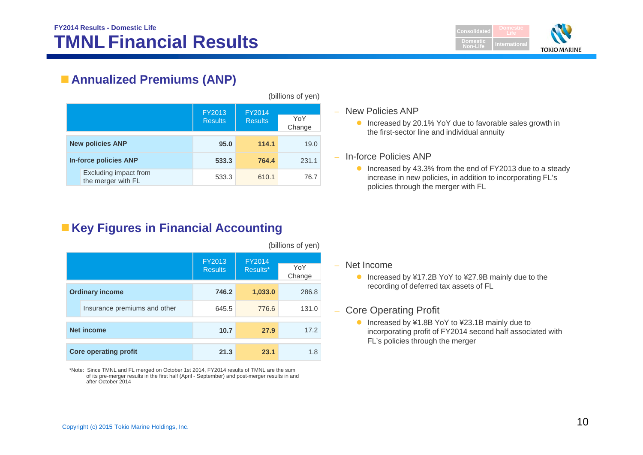

## **Annualized Premiums (ANP)**

|                         |                                                             |       |               | (billions of yen) |
|-------------------------|-------------------------------------------------------------|-------|---------------|-------------------|
|                         | FY2013<br><b>FY2014</b><br><b>Results</b><br><b>Results</b> |       | YoY<br>Change |                   |
| <b>New policies ANP</b> |                                                             | 95.0  | 114.1         | 19.0              |
|                         | <b>In-force policies ANP</b>                                | 533.3 | 764.4         | 231.1             |
|                         | Excluding impact from<br>the merger with FL                 | 533.3 | 610.1         | 76.7              |

## **Key Figures in Financial Accounting**

|                        |                              |                          |                    | (billions of yen) |
|------------------------|------------------------------|--------------------------|--------------------|-------------------|
|                        |                              | FY2013<br><b>Results</b> | FY2014<br>Results* | YoY<br>Change     |
| <b>Ordinary income</b> |                              | 746.2                    | 1,033.0            | 286.8             |
|                        | Insurance premiums and other | 645.5                    | 776.6              | 131.0             |
| <b>Net income</b>      |                              | 10.7                     | 27.9               | 17.2              |
|                        | <b>Core operating profit</b> | 21.3                     | 23.1               | 1.8               |

\*Note: Since TMNL and FL merged on October 1st 2014, FY2014 results of TMNL are the sum of its pre-merger results in the first half (April - September) and post-merger results in and after October 2014

– New Policies ANP

- Increased by 20.1% YoY due to favorable sales growth in the first-sector line and individual annuity
- In-force Policies ANP
	- Increased by 43.3% from the end of FY2013 due to a steady increase in new policies, in addition to incorporating FL's policies through the merger with FL

– Net Income

● Increased by ¥17.2B YoY to ¥27.9B mainly due to the recording of deferred tax assets of FL

### – Core Operating Profit

● Increased by ¥1.8B YoY to ¥23.1B mainly due to incorporating profit of FY2014 second half associated with FL's policies through the merger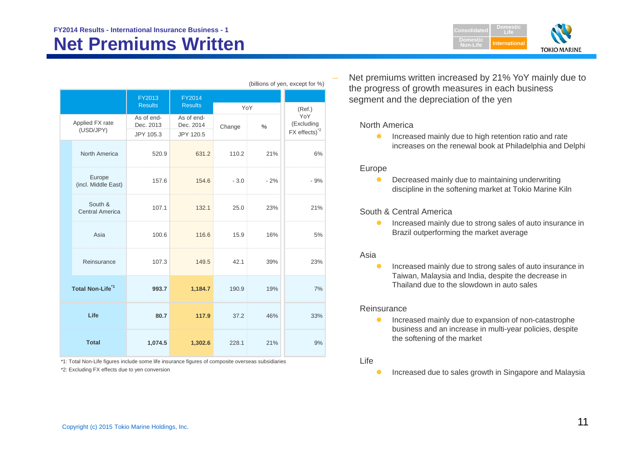## **Net Premiums Written**



| (billions of yen, except for %)   |                         |                         |        |               |                          |
|-----------------------------------|-------------------------|-------------------------|--------|---------------|--------------------------|
|                                   | FY2013                  | FY2014                  |        |               |                          |
|                                   | <b>Results</b>          | <b>Results</b>          | YoY    |               | (Ref.)                   |
| Applied FX rate<br>(USD/JPY)      | As of end-<br>Dec. 2013 | As of end-<br>Dec. 2014 | Change | $\frac{0}{0}$ | YoY<br>(Excluding        |
|                                   | JPY 105.3               | JPY 120.5               |        |               | FX effects) <sup>2</sup> |
| North America                     | 520.9                   | 631.2                   | 110.2  | 21%           | 6%                       |
| Europe<br>(incl. Middle East)     | 157.6                   | 154.6                   | $-3.0$ | $-2%$         | $-9%$                    |
| South &<br><b>Central America</b> | 107.1                   | 132.1                   | 25.0   | 23%           | 21%                      |
| Asia                              | 100.6                   | 116.6                   | 15.9   | 16%           | 5%                       |
| Reinsurance                       | 107.3                   | 149.5                   | 42.1   | 39%           | 23%                      |
| Total Non-Life <sup>*1</sup>      | 993.7                   | 1,184.7                 | 190.9  | 19%           | 7%                       |
| Life                              | 80.7                    | 117.9                   | 37.2   | 46%           | 33%                      |
| <b>Total</b>                      | 1,074.5                 | 1,302.6                 | 228.1  | 21%           | 9%                       |

\*1: Total Non-Life figures include some life insurance figures of composite overseas subsidiaries

\*2: Excluding FX effects due to yen conversion

 Net premiums written increased by 21% YoY mainly due to the progress of growth measures in each business segment and the depreciation of the yen

#### North America

 $\bullet$  Increased mainly due to high retention ratio and rate increases on the renewal book at Philadelphia and Delphi

#### Europe

 $\bullet$  Decreased mainly due to maintaining underwriting discipline in the softening market at Tokio Marine Kiln

#### South & Central America

 $\bullet$  Increased mainly due to strong sales of auto insurance in Brazil outperforming the market average

#### Asia

 $\bullet$  Increased mainly due to strong sales of auto insurance in Taiwan, Malaysia and India, despite the decrease in Thailand due to the slowdown in auto sales

#### Reinsurance

 $\bullet$  Increased mainly due to expansion of non-catastrophe business and an increase in multi-year policies, despite the softening of the market

#### Life

Ô Increased due to sales growth in Singapore and Malaysia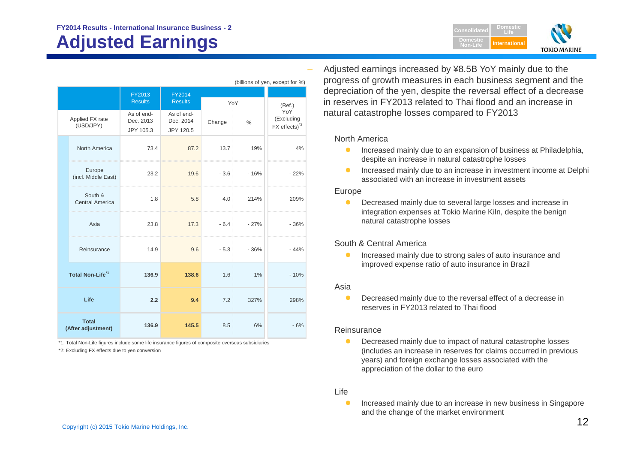## **Adjusted Earnings**



| (billions of yen, except for %) |                                    |                                      |                                      |                         |        |                                                              |
|---------------------------------|------------------------------------|--------------------------------------|--------------------------------------|-------------------------|--------|--------------------------------------------------------------|
|                                 |                                    | FY2013<br><b>Results</b>             | <b>FY2014</b><br><b>Results</b>      | YoY                     |        | (Ref.)                                                       |
|                                 | Applied FX rate<br>(USD/JPY)       | As of end-<br>Dec. 2013<br>JPY 105.3 | As of end-<br>Dec. 2014<br>JPY 120.5 | Change<br>$\frac{0}{6}$ |        | YoY<br>(Excluding<br>$FX$ effects) <sup><math>2</math></sup> |
|                                 | North America                      | 73.4                                 | 87.2                                 | 13.7                    | 19%    | 4%                                                           |
|                                 | Europe<br>(incl. Middle East)      | 23.2                                 | 19.6                                 | $-3.6$                  | $-16%$ | $-22%$                                                       |
|                                 | South &<br>Central America         | 1.8                                  | 5.8                                  | 4.0                     | 214%   | 209%                                                         |
|                                 | Asia                               | 23.8                                 | 17.3                                 | $-6.4$                  | $-27%$ | $-36%$                                                       |
|                                 | Reinsurance                        | 14.9                                 | 9.6                                  | $-5.3$                  | $-36%$ | $-44%$                                                       |
|                                 | Total Non-Life <sup>*1</sup>       | 136.9                                | 138.6                                | 1.6                     | 1%     | $-10%$                                                       |
|                                 | Life                               | 2.2                                  | 9.4                                  | 7.2                     | 327%   | 298%                                                         |
|                                 | <b>Total</b><br>(After adjustment) | 136.9                                | 145.5                                | 8.5                     | 6%     | $-6%$                                                        |

\*1: Total Non-Life figures include some life insurance figures of composite overseas subsidiaries \*2: Excluding FX effects due to yen conversion

 Adjusted earnings increased by ¥8.5B YoY mainly due to the progress of growth measures in each business segment and the depreciation of the yen, despite the reversal effect of a decrease in reserves in FY2013 related to Thai flood and an increase in natural catastrophe losses compared to FY2013

#### North America

- $\bullet$  Increased mainly due to an expansion of business at Philadelphia, despite an increase in natural catastrophe losses
- $\bullet$  Increased mainly due to an increase in investment income at Delphi associated with an increase in investment assets

#### Europe

 $\bullet$  Decreased mainly due to several large losses and increase in integration expenses at Tokio Marine Kiln, despite the benign natural catastrophe losses

#### South & Central America

 $\bullet$  Increased mainly due to strong sales of auto insurance and improved expense ratio of auto insurance in Brazil

#### Asia

 $\bullet$  Decreased mainly due to the reversal effect of a decrease in reserves in FY2013 related to Thai flood

#### Reinsurance

 $\bullet$  Decreased mainly due to impact of natural catastrophe losses (includes an increase in reserves for claims occurred in previous years) and foreign exchange losses associated with the appreciation of the dollar to the euro

#### Life

 $\bullet$  Increased mainly due to an increase in new business in Singapore and the change of the market environment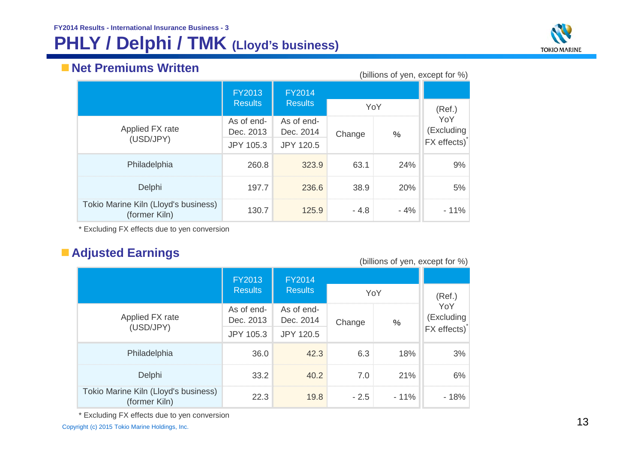## **PHLY / Delphi / TMK (Lloyd's business)**



## **Net Premiums Written**

| ww.community.com<br>(billions of yen, except for %)   |                         |                         |        |       |                   |
|-------------------------------------------------------|-------------------------|-------------------------|--------|-------|-------------------|
|                                                       | <b>FY2013</b>           | <b>FY2014</b>           |        |       |                   |
|                                                       | <b>Results</b>          | <b>Results</b>          | YoY    |       | (Ref.)            |
| Applied FX rate                                       | As of end-<br>Dec. 2013 | As of end-<br>Dec. 2014 | Change | $\%$  | YoY<br>(Excluding |
| (USD/JPY)                                             | <b>JPY 105.3</b>        | JPY 120.5               |        |       | FX effects)       |
| Philadelphia                                          | 260.8                   | 323.9                   | 63.1   | 24%   | 9%                |
| Delphi                                                | 197.7                   | 236.6                   | 38.9   | 20%   | 5%                |
| Tokio Marine Kiln (Lloyd's business)<br>(former Kiln) | 130.7                   | 125.9                   | $-4.8$ | $-4%$ | $-11\%$           |

\* Excluding FX effects due to yen conversion

## **Adjusted Earnings**

|                                                       | <b>FY2013</b><br><b>Results</b> | <b>FY2014</b><br><b>Results</b> | YoY    |        | (Ref.)            |
|-------------------------------------------------------|---------------------------------|---------------------------------|--------|--------|-------------------|
| Applied FX rate                                       | As of end-<br>Dec. 2013         | As of end-<br>Dec. 2014         | Change | $\%$   | YoY<br>(Excluding |
| (USD/JPY)                                             | JPY 105.3                       | JPY 120.5                       |        |        | FX effects)       |
| Philadelphia                                          | 36.0                            | 42.3                            | 6.3    | 18%    | 3%                |
| Delphi                                                | 33.2                            | 40.2                            | 7.0    | 21%    | 6%                |
| Tokio Marine Kiln (Lloyd's business)<br>(former Kiln) | 22.3                            | 19.8                            | $-2.5$ | $-11%$ | - 18%             |

\* Excluding FX effects due to yen conversion

Excluding FX criticis due to yell conversion that the state of the state of the copyright (c) 2015 Tokio Marine Holdings, Inc. 13

#### (billions of yen, except for %)

\*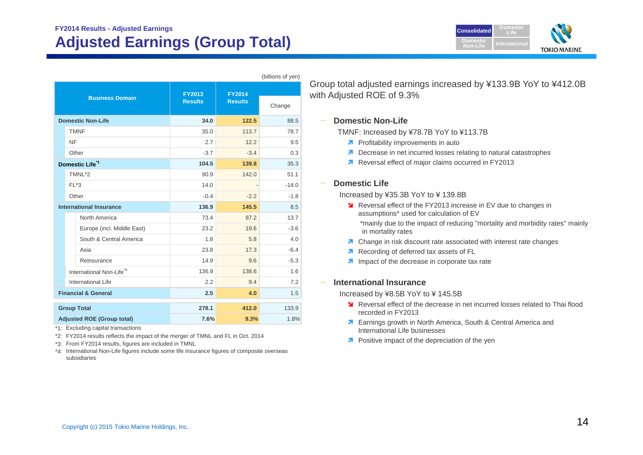## **FY2014 Results - Adjusted Earnings Adjusted Earnings (Group Total)**

| <b>Consolidated</b>          | <b>Domestic</b><br>ll i fel |                     |
|------------------------------|-----------------------------|---------------------|
| <b>Domestic</b><br>Non-Life: | <b>International</b>        |                     |
|                              |                             | <b>TOKIO MARINE</b> |

|                                   |                                      |                          |                                 | (billions of yen) |
|-----------------------------------|--------------------------------------|--------------------------|---------------------------------|-------------------|
|                                   | <b>Business Domain</b>               | FY2013<br><b>Results</b> | <b>FY2014</b><br><b>Results</b> | Change            |
|                                   | <b>Domestic Non-Life</b>             | 34.0                     | 122.5                           | 88.5              |
|                                   | <b>TMNF</b>                          | 35.0                     | 113.7                           | 78.7              |
|                                   | <b>NF</b>                            | 2.7                      | 12.2                            | 9.5               |
|                                   | Other                                | $-3.7$                   | $-3.4$                          | 0.3               |
|                                   | Domestic Life <sup>*1</sup>          | 104.5                    | 139.8                           | 35.3              |
|                                   | TMNL*2                               | 90.9                     | 142.0                           | 51.1              |
|                                   | $FI$ $*3$                            | 14.0                     | <u>mananananana</u>             | $-14.0$           |
|                                   | Other                                | $-0.4$                   | $-2.2$                          | $-1.8$            |
|                                   | <b>International Insurance</b>       | 136.9                    | 145.5                           | 8.5               |
|                                   | North America                        | 73.4                     | 87.2                            | 13.7              |
|                                   | Europe (incl. Middle East)           | 23.2                     | 19.6                            | $-3.6$            |
|                                   | South & Central America              | 1.8                      | 5.8                             | 4.0               |
|                                   | Asia                                 | 23.8                     | 17.3                            | $-6.4$            |
|                                   | Reinsurance                          | 14.9                     | 9.6                             | $-5.3$            |
|                                   | International Non-Life <sup>*4</sup> | 136.9                    | 138.6                           | 1.6               |
|                                   | International Life                   | 2.2                      | 9.4                             | 7.2               |
|                                   | <b>Financial &amp; General</b>       | 2.5                      | 4.0                             | 1.5               |
|                                   | <b>Group Total</b>                   | 278.1                    | 412.0                           | 133.9             |
| <b>Adjusted ROE (Group total)</b> |                                      | 7.6%                     | 9.3%                            | 1.8%              |

\*1: Excluding capital transactions

\*2: FY2014 results reflects the impact of the merger of TMNL and FL in Oct. 2014

\*3: From FY2014 results, figures are included in TMNL

\*4: International Non-Life figures include some life insurance figures of composite overseas subsidiaries

Group total adjusted earnings increased by ¥133.9B YoY to ¥412.0B with Adjusted ROE of 9.3%

#### **Domestic Non-Life**

TMNF: Increased by ¥78.7B YoY to ¥113.7B

- **A** Profitability improvements in auto
- **7** Decrease in net incurred losses relating to natural catastrophes
- Reversal effect of major claims occurred in FY2013

#### **Domestic Life**

Increased by ¥35.3B YoY to ¥ 139.8B

- **N** Reversal effect of the FY2013 increase in EV due to changes in assumptions\* used for calculation of EV \*mainly due to the impact of reducing "mortality and morbidity rates" mainly in mortality rates
- **7** Change in risk discount rate associated with interest rate changes
- Recording of deferred tax assets of FL
- **A** Impact of the decrease in corporate tax rate

#### **International Insurance**

Increased by ¥8.5B YoY to ¥ 145.5B

- **N** Reversal effect of the decrease in net incurred losses related to Thai flood recorded in FY2013
- **7** Earnings growth in North America, South & Central America and International Life businesses
- **7** Positive impact of the depreciation of the yen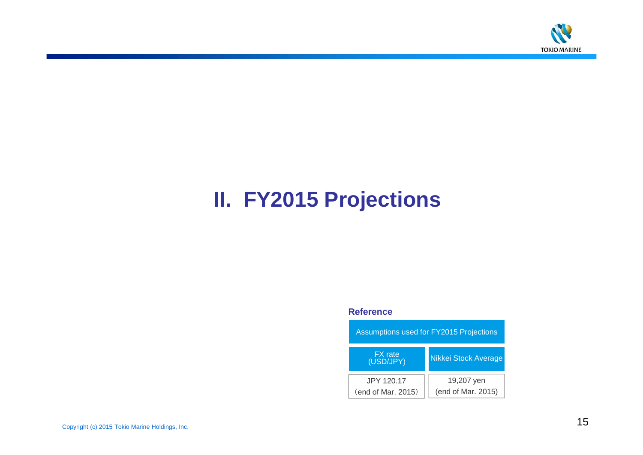

# **II. FY2015 Projections**

#### **Reference**

| Assumptions used for FY2015 Projections |                                  |  |  |
|-----------------------------------------|----------------------------------|--|--|
| <b>FX</b> rate<br>(USD/JPY)             | <b>Nikkei Stock Average</b>      |  |  |
| JPY 120.17<br>(end of Mar. 2015)        | 19,207 yen<br>(end of Mar. 2015) |  |  |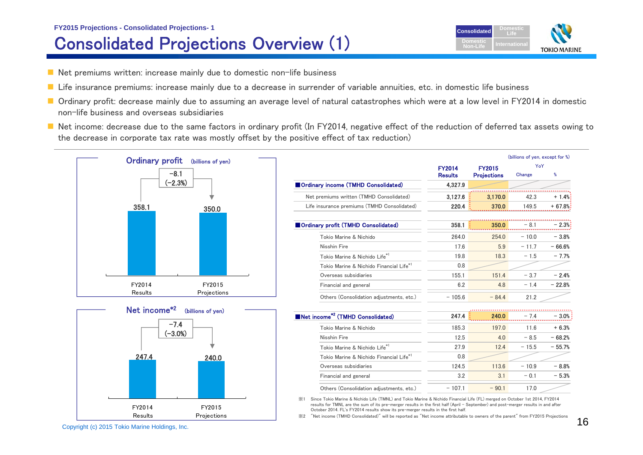## **FY2015 Projections - Consolidated Projections- 1** Consolidated Projections Overview (1)



- $\blacksquare$  Net premiums written: increase mainly due to domestic non-life business
- Life insurance premiums: increase mainly due to a decrease in surrender of variable annuities, etc. in domestic life business
- Ordinary profit: decrease mainly due to assuming an average level of natural catastrophes which were at a low level in FY2014 in domestic non-life business and overseas subsidiaries
- Net income: decrease due to the same factors in ordinary profit (In FY2014, negative effect of the reduction of deferred tax assets owing to the decrease in corporate tax rate was mostly offset by the positive effect of tax reduction)



※1 Since Tokio Marine & Nichido Life (TMNL) and Tokio Marine & Nichido Financial Life (FL) merged on October 1st 2014, FY2014 results for TMNL are the sum of its pre-merger results in the first half (April - September) and post-merger results in and after October 2014. FL's FY2014 results show its pre-merger results in the first half.

※2 "Net income (TMHD Consolidated)" will be reported as "Net income attributable to owners of the parent" from FY2015 Projections

Experience the contract of the contract of the contract of the second contract of the second contract of the second contract of the second contract of the second second contract of the second second contract of the second

FY2014Results

FY2015Projections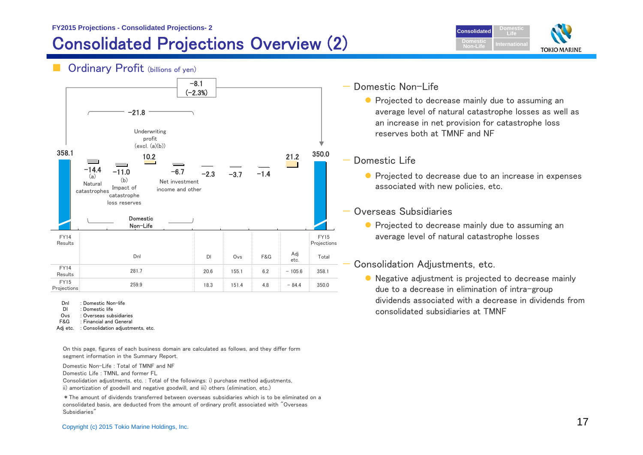## Consolidated Projections Overview (2)



### Ordinary Profit (billions of yen)



Dnl: Domestic Non-life

- Dl: Domestic life
- Ovs: Overseas subsidiaries
- F&G : Financial and General
- Adj etc. : Consolidation adjustments, etc.

On this page, figures of each business domain are calculated as follows, and they differ form segment information in the Summary Report.

Domestic Non-Life : Total of TMNF and NF Domestic Life : TMNL and former FL

Consolidation adjustments, etc. : Total of the followings: i) purchase method adjustments, ii) amortization of goodwill and negative goodwill, and iii) others (elimination, etc.)

\*The amount of dividends transferred between overseas subsidiaries which is to be eliminated on a consolidated basis, are deducted from the amount of ordinary profit associated with "Overseas Subsidiaries"

### Domestic Non-Life

**•** Projected to decrease mainly due to assuming an average level of natural catastrophe losses as well as an increase in net provision for catastrophe loss reserves both at TMNF and NF

#### Domestic Life

**•** Projected to decrease due to an increase in expenses associated with new policies, etc.

#### Overseas Subsidiaries

**• Projected to decrease mainly due to assuming an** average level of natural catastrophe losses

#### Consolidation Adjustments, etc.

● Negative adjustment is projected to decrease mainly due to a decrease in elimination of intra-group dividends associated with a decrease in dividends from consolidated subsidiaries at TMNF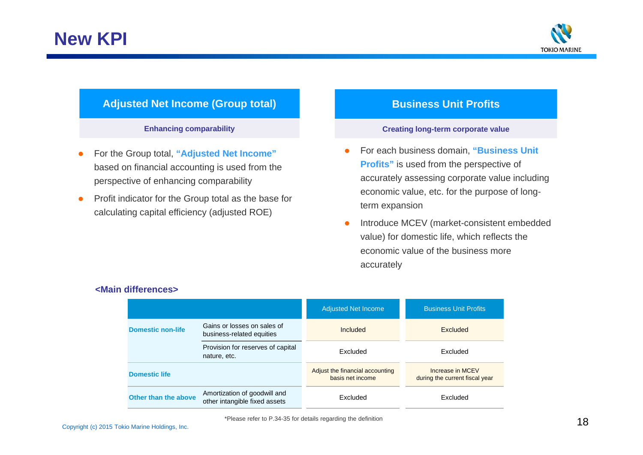

### **Adjusted Net Income (Group total)**

#### **Enhancing comparability**

- $\bullet$  For the Group total, **"Adjusted Net Income"**  based on financial accounting is used from the perspective of enhancing comparability
- $\bullet$  Profit indicator for the Group total as the base for calculating capital efficiency (adjusted ROE)

### **Business Unit Profits**

#### **Creating long-term corporate value**

- O For each business domain, **"Business Unit Profits"** is used from the perspective of accurately assessing corporate value including economic value, etc. for the purpose of longterm expansion
- $\bullet$  Introduce MCEV (market-consistent embedded value) for domestic life, which reflects the economic value of the business more accurately

|                          |                                                               | <b>Adjusted Net Income</b>                          | <b>Business Unit Profits</b>                       |
|--------------------------|---------------------------------------------------------------|-----------------------------------------------------|----------------------------------------------------|
| <b>Domestic non-life</b> | Gains or losses on sales of<br>business-related equities      | Included                                            | <b>Excluded</b>                                    |
|                          | Provision for reserves of capital<br>nature, etc.             | <b>Excluded</b>                                     | <b>Fxcluded</b>                                    |
| <b>Domestic life</b>     |                                                               | Adjust the financial accounting<br>basis net income | Increase in MCEV<br>during the current fiscal year |
| Other than the above     | Amortization of goodwill and<br>other intangible fixed assets | <b>Fxcluded</b>                                     | Excluded                                           |

#### **<Main differences>**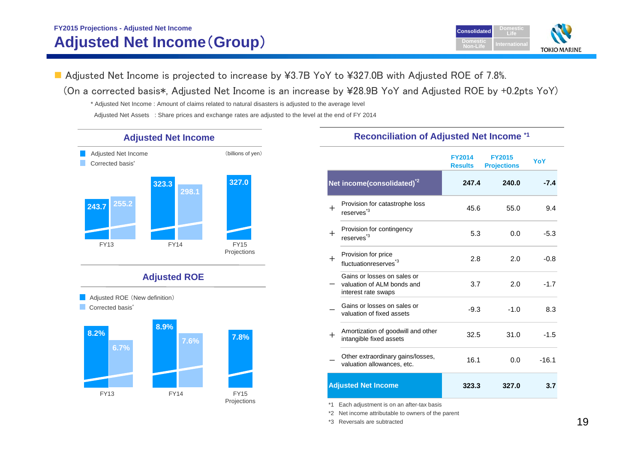## **FY2015 Projections - Adjusted Net Income Adjusted Net Income**(**Group**)



■ Adjusted Net Income is projected to increase by ¥3.7B YoY to ¥327.0B with Adjusted ROE of 7.8%.

(On a corrected basis\*, Adjusted Net Income is an increase by ¥28.9B YoY and Adjusted ROE by +0.2pts YoY)

\* Adjusted Net Income : Amount of claims related to natural disasters is adjusted to the average level

Adjusted Net Assets : Share prices and exchange rates are adjusted to the level at the end of FY 2014



### **Adjusted Net Income Reconciliation of Adjusted Net Income \*1**

|        |                                                                                  | <b>FY2014</b><br><b>Results</b> | <b>FY2015</b><br><b>Projections</b> | YoY     |  |  |  |
|--------|----------------------------------------------------------------------------------|---------------------------------|-------------------------------------|---------|--|--|--|
|        | Net income(consolidated) <sup>*2</sup>                                           | 247.4                           | 240.0                               | $-7.4$  |  |  |  |
| $+$    | Provision for catastrophe loss<br>reserves <sup>*3</sup>                         | 45.6                            | 55.0                                | 9.4     |  |  |  |
| $^{+}$ | Provision for contingency<br>reserves <sup>*3</sup>                              | 5.3                             | 0.0                                 | $-5.3$  |  |  |  |
| $^{+}$ | Provision for price<br>fluctuationreserves <sup>*3</sup>                         | 2.8                             | 2.0                                 | $-0.8$  |  |  |  |
|        | Gains or losses on sales or<br>valuation of ALM bonds and<br>interest rate swaps | 3.7                             | 2.0                                 | $-1.7$  |  |  |  |
|        | Gains or losses on sales or<br>valuation of fixed assets                         | $-9.3$                          | $-1.0$                              | 8.3     |  |  |  |
| $^{+}$ | Amortization of goodwill and other<br>intangible fixed assets                    | 32.5                            | 31.0                                | $-1.5$  |  |  |  |
|        | Other extraordinary gains/losses,<br>valuation allowances, etc.                  | 16.1                            | 0.0                                 | $-16.1$ |  |  |  |
|        | <b>Adjusted Net Income</b><br>323.3<br>327.0<br>3.7                              |                                 |                                     |         |  |  |  |
| $*1$   | Each adjustment is on an after-tax basis                                         |                                 |                                     |         |  |  |  |

\*2 Net income attributable to owners of the parent

 $\sim$  2015  $\pm$  2015  $\pm$  2015  $\pm$  2015  $\pm$  2015  $\pm$  2015  $\pm$  2015  $\pm$  2015  $\pm$  2015  $\pm$  2015  $\pm$  2015  $\pm$  2015  $\pm$  2015  $\pm$  2015  $\pm$  2015  $\pm$  2015  $\pm$  2015  $\pm$  2015  $\pm$  2015  $\pm$  2015  $\pm$  2015  $\pm$  2015 \*3 Reversals are subtracted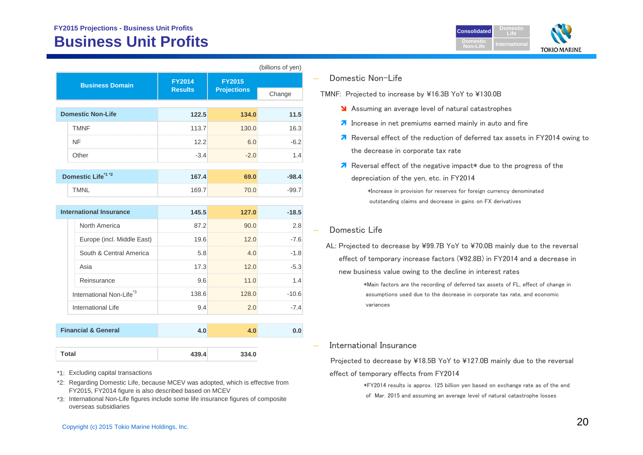### **FY2015 Projections - Business Unit Profits Business Unit**

 **Domestic Non-Life**

| usiness Unit Profits   |                |                     |                   |                                      |  |  |
|------------------------|----------------|---------------------|-------------------|--------------------------------------|--|--|
|                        |                |                     | (billions of yen) |                                      |  |  |
| <b>Business Domain</b> | <b>FY2014</b>  | <b>FY2015</b>       |                   | Domestic Non-Life                    |  |  |
|                        | <b>Results</b> | <b>Projections</b>  | Change            | TMNF: Projected to incre             |  |  |
| mestic Non-Life        | 122.5          | 134.0               | 11.5              | Assuming an ave                      |  |  |
| <b>TMNF</b>            | 113.7          | 130.0               | 16.3              | $\overline{\bullet}$ Increase in net |  |  |
| NIE.                   | 100            | $\epsilon$ $\Omega$ | c n               | <b>7</b> Reversal effect             |  |  |



| <b>International Insurance</b> |                                     | 145.5 | 127.0 | $-18.5$ |
|--------------------------------|-------------------------------------|-------|-------|---------|
|                                | North America                       | 87.2  | 90.0  | 2.8     |
|                                | Europe (incl. Middle East)          | 19.6  | 12.0  | $-7.6$  |
|                                | South & Central America             | 5.8   | 4 O   | -1.8    |
|                                | Asia                                | 17.3  | 12.0  | $-5.3$  |
|                                | Reinsurance                         | 9.6   | 11.0  | 14      |
|                                | International Non-Life <sup>3</sup> | 138.6 | 128.0 | $-106$  |
|                                | International Life                  | 9.4   | 2.0   | $-74$   |
|                                |                                     |       |       |         |
| <b>Financial &amp; General</b> |                                     |       |       |         |

| Total | 439.4 | 334.0 |
|-------|-------|-------|
|       |       |       |

\*1: Excluding capital transactions

 **Total**

- \*2: Regarding Domestic Life, because MCEV was adopted, which is effective from FY2015, FY2014 figure is also described based on MCEV
- \*3: International Non-Life figures include some life insurance figures of composite overseas subsidiaries



ease by ¥16.3B YoY to ¥130.0B

- verage level of natural catastrophes
- premiums earned mainly in auto and fire
- of the reduction of deferred tax assets in FY2014 owing to the decrease in corporate tax rate
- $\lambda$  Reversal effect of the negative impact\* due to the progress of the depreciation of the yen, etc. in FY2014

\*Increase in provision for reserves for foreign currency denominated outstanding claims and decrease in gains on FX derivatives

#### Domestic Life

AL: Projected to decrease by ¥99.7B YoY to ¥70.0B mainly due to the reversal effect of temporary increase factors (¥92.8B) in FY2014 and a decrease in new business value owing to the decline in interest rates

> \*Main factors are the recording of deferred tax assets of FL, effect of change in assumptions used due to the decrease in corporate tax rate, and economic variances

International Insurance

Projected to decrease by ¥18.5B YoY to ¥127.0B mainly due to the reversal effect of temporary effects from FY2014

> \*FY2014 results is approx. 125 billion yen based on exchange rate as of the end of Mar. 2015 and assuming an average level of natural catastrophe losses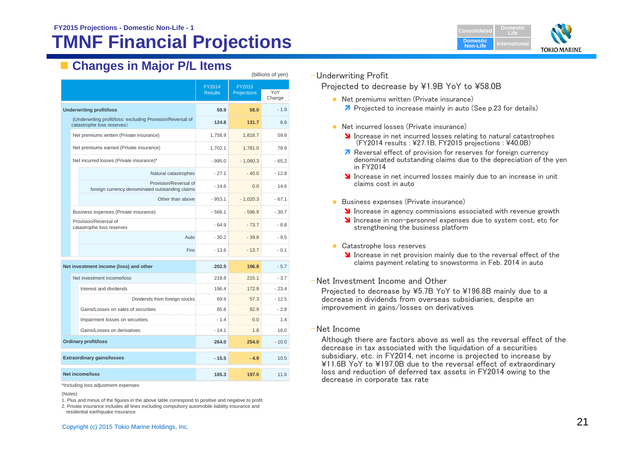## **TMNF Financial Projections**



## **Examples in Major P/L Items**

| $\mu$ ווווטווס טו                                  |                                                                          |                          |                              |         |
|----------------------------------------------------|--------------------------------------------------------------------------|--------------------------|------------------------------|---------|
|                                                    |                                                                          | FY2014<br><b>Results</b> | FY2015<br><b>Projections</b> | YoY     |
|                                                    |                                                                          |                          |                              | Change  |
| <b>Underwriting profit/loss</b>                    |                                                                          | 59.9                     | 58.0                         | $-1.9$  |
| catastrophe loss reserves)                         | (Underwriting profit/loss: excluding Provision/Reversal of               | 124.8                    | 131.7                        | 6.9     |
|                                                    | Net premiums written (Private insurance)                                 | 1,758.9                  | 1,818.7                      | 59.8    |
|                                                    | Net premiums earned (Private insurance)                                  | 1,702.1                  | 1,781.0                      | 78.9    |
|                                                    | Net incurred losses (Private insurance)*                                 | $-995.0$                 | $-1,060.3$                   | $-65.2$ |
|                                                    | Natural catastrophes                                                     | $-27.1$                  | $-40.0$                      | $-12.8$ |
|                                                    | Provision/Reversal of<br>foreign currency denominated outstanding claims | $-14.6$                  | 0.0                          | 14.6    |
|                                                    | Other than above                                                         | $-953.1$                 | $-1,020.3$                   | $-67.1$ |
|                                                    | Business expenses (Private insurance)                                    | $-566.1$                 | $-596.9$                     | $-30.7$ |
| Provision/Reversal of<br>catastrophe loss reserves |                                                                          | $-64.9$                  | $-73.7$                      | $-8.8$  |
|                                                    | Auto                                                                     | $-30.2$                  | $-39.8$                      | $-9.5$  |
|                                                    | Fire                                                                     | $-13.6$                  | $-13.7$                      | $-0.1$  |
|                                                    | Net investment income (loss) and other                                   | 202.5                    | 196.8                        | $-5.7$  |
| Net investment income/loss                         |                                                                          | 218.8                    | 215.1                        | $-3.7$  |
| Interest and dividends                             |                                                                          | 196.4                    | 172.9                        | $-23.4$ |
|                                                    | Dividends from foreign stocks                                            | 69.9                     | 57.3                         | $-12.5$ |
|                                                    | Gains/Losses on sales of securities                                      | 85.8                     | 82.9                         | $-2.8$  |
|                                                    | Impairment losses on securities                                          | $-1.4$                   | 0.0                          | 1.4     |
|                                                    | Gains/Losses on derivatives                                              | $-14.1$                  | 1.8                          | 16.0    |
| <b>Ordinary profit/loss</b>                        |                                                                          | 264.0                    | 254.0                        | $-10.0$ |
| <b>Extraordinary gains/losses</b>                  |                                                                          | $-15.5$                  | $-4.9$                       | 10.5    |
| <b>Net income/loss</b>                             |                                                                          | 185.3                    | 197.0                        | 11.6    |

\*Including loss adjustment expenses

1. Plus and minus of the figures in the above table correspond to positive and negative to profit

2. Private insurance includes all lines excluding compulsory automobile liability insurance and residential earthquake insurance

#### –Underwriting Profit

Projected to decrease by ¥1.9B YoY to ¥58.0B

- **•** Net premiums written (Private insurance)
	- **7** Projected to increase mainly in auto (See p.23 for details)
- **•** Net incurred losses (Private insurance)
	- Increase in net incurred losses relating to natural catastrophes  $(FY2014$  results : ¥27.1B, FY2015 projections : ¥40.0B)
	- Reversal effect of provision for reserves for foreign currency denominated outstanding claims due to the depreciation of the yen in FY2014
	- **If** Increase in net incurred losses mainly due to an increase in unit claims cost in auto
- **Business expenses (Private insurance)** 
	- Increase in agency commissions associated with revenue growth
	- Increase in non-personnel expenses due to system cost, etc for strengthening the business platform
- **Catastrophe loss reserves** 
	- Increase in net provision mainly due to the reversal effect of the claims payment relating to snowstorms in Feb. 2014 in auto
- –Net Investment Income and Other

Projected to decrease by ¥5.7B YoY to ¥196.8B mainly due to a decrease in dividends from overseas subsidiaries, despite an improvement in gains/losses on derivatives

–Net Income

Although there are factors above as well as the reversal effect of the decrease in tax associated with the liquidation of a securities subsidiary, etc. in FY2014, net income is projected to increase by ¥11.6B YoY to ¥197.0B due to the reversal effect of extraordinary loss and reduction of deferred tax assets in FY2014 owing to the decrease in corporate tax rate

<sup>(</sup>Notes)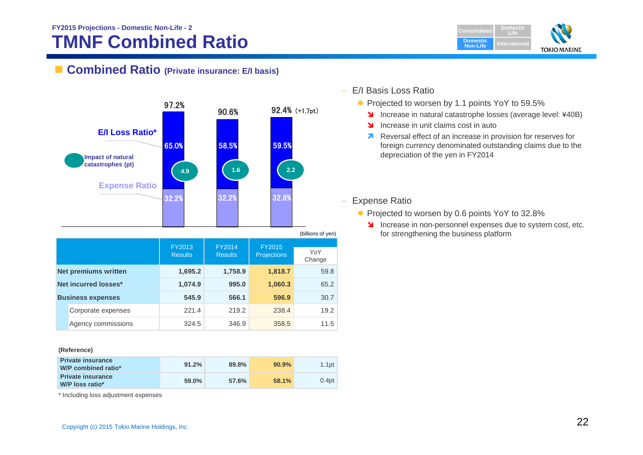## **TMNF Combined Ratio FY2015 Projections - Domestic Non-Life - 2**



### ■ **Combined Ratio** (Private insurance: E/I basis)



#### **(Reference)**

| <b>Private insurance</b><br>W/P combined ratio* | 91.2% | 89.8% | 90.9% | 1.1 <sub>pt</sub> |
|-------------------------------------------------|-------|-------|-------|-------------------|
| <b>Private insurance</b><br>W/P loss ratio*     | 59.0% | 57.6% | 58.1% | 0.4 <sub>pt</sub> |

\* Including loss adjustment expenses

- – E/I Basis Loss Ratio
	- Projected to worsen by 1.1 points YoY to 59.5%
		- **Increase in natural catastrophe losses (average level: ¥40B)**
		- **N** Increase in unit claims cost in auto
		- **A** Reversal effect of an increase in provision for reserves for foreign currency denominated outstanding claims due to the depreciation of the yen in FY2014

 $\equiv$ Expense Ratio

- Projected to worsen by 0.6 points YoY to 32.8%
	- Increase in non-personnel expenses due to system cost, etc. for strengthening the business platform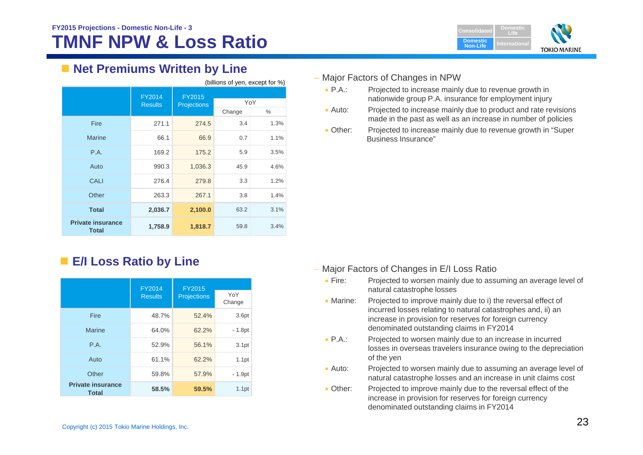

## **Net Premiums Written by Line**

| (billions of yen, except for %)          |                          |                              |        |      |
|------------------------------------------|--------------------------|------------------------------|--------|------|
|                                          | FY2014<br><b>Results</b> | FY2015<br><b>Projections</b> | YoY    |      |
|                                          |                          |                              | Change | ℅    |
| Fire                                     | 271.1                    | 274.5                        | 3.4    | 1.3% |
| <b>Marine</b>                            | 66.1                     | 66.9                         | 0.7    | 1.1% |
| P.A.                                     | 169.2                    | 175.2                        | 5.9    | 3.5% |
| Auto                                     | 990.3                    | 1,036.3                      | 45.9   | 4.6% |
| CALI                                     | 276.4                    | 279.8                        | 3.3    | 1.2% |
| Other                                    | 263.3                    | 267.1                        | 3.8    | 1.4% |
| <b>Total</b>                             | 2,036.7                  | 2,100.0                      | 63.2   | 3.1% |
| <b>Private insurance</b><br><b>Total</b> | 1,758.9                  | 1,818.7                      | 59.8   | 3.4% |

## **E/I Loss Ratio by Line**

|                                          | <b>FY2014</b>  | <b>FY2015</b>      |                   |
|------------------------------------------|----------------|--------------------|-------------------|
|                                          | <b>Results</b> | <b>Projections</b> | YoY<br>Change     |
| Fire                                     | 48.7%          | 52.4%              | 3.6pt             |
| <b>Marine</b>                            | 64.0%          | 62.2%              | $-1.8pt$          |
| P.A.                                     | 52.9%          | 56.1%              | 3.1 <sub>pt</sub> |
| Auto                                     | 61.1%          | 62.2%              | 1.1 <sub>pt</sub> |
| Other                                    | 59.8%          | 57.9%              | $-1.9pt$          |
| <b>Private insurance</b><br><b>Total</b> | 58.5%          | 59.5%              | 1.1pt             |

#### – Major Factors of Changes in NPW

- $\bullet$  P.A.: Projected to increase mainly due to revenue growth in nationwide group P.A. insurance for employment injury
- $\bullet$  Auto: Projected to increase mainly due to product and rate revisions made in the past as well as an increase in number of policies
- $\bullet$  Other: Projected to increase mainly due to revenue growth in "Super Business Insurance"

- Major Factors of Changes in E/I Loss Ratio
	- $\bullet$  Fire: Projected to worsen mainly due to assuming an average level of natural catastrophe losses
	- Marine: Projected to improve mainly due to i) the reversal effect of incurred losses relating to natural catastrophes and, ii) an increase in provision for reserves for foreign currency denominated outstanding claims in FY2014
	- $\bullet$  PA $\cdot$ Projected to worsen mainly due to an increase in incurred losses in overseas travelers insurance owing to the depreciation of the yen
	- $\bullet$  Auto: Projected to worsen mainly due to assuming an average level of natural catastrophe losses and an increase in unit claims cost
	- Other: Projected to improve mainly due to the reversal effect of the increase in provision for reserves for foreign currency denominated outstanding claims in FY2014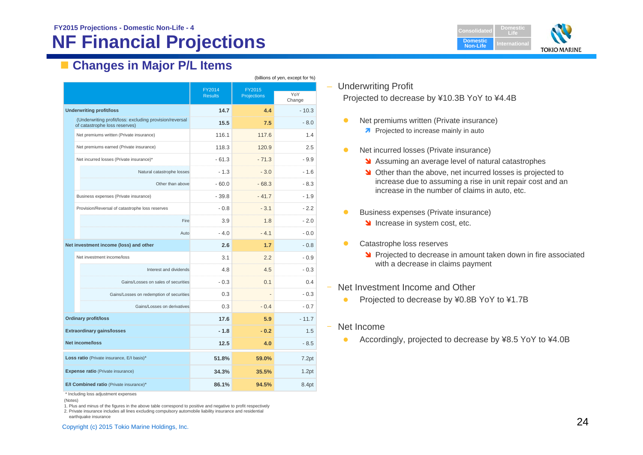## **NF Financial Projections**

**DomesticLifeDomestic Non-LifeTOKIO MARINE** 

## **Changes in Major P/L Items**

|                                                                                          | (billions of yen, except for %) |                       |               |  |  |
|------------------------------------------------------------------------------------------|---------------------------------|-----------------------|---------------|--|--|
|                                                                                          | FY2014<br><b>Results</b>        | FY2015<br>Projections | YoY<br>Change |  |  |
| <b>Underwriting profit/loss</b>                                                          | 14.7                            | 4.4                   | $-10.3$       |  |  |
| (Underwriting profit/loss: excluding provision/reversal<br>of catastrophe loss reserves) | 15.5                            | 7.5                   | $-8.0$        |  |  |
| Net premiums written (Private insurance)                                                 | 116.1                           | 117.6                 | 1.4           |  |  |
| Net premiums earned (Private insurance)                                                  | 118.3                           | 120.9                 | 2.5           |  |  |
| Net incurred losses (Private insurance)*                                                 | $-61.3$                         | $-71.3$               | $-9.9$        |  |  |
| Natural catastrophe losses                                                               | $-1.3$                          | $-3.0$                | $-1.6$        |  |  |
| Other than above                                                                         | - 60.0                          | $-68.3$               | - 8.3         |  |  |
| Business expenses (Private insurance)                                                    | $-39.8$                         | $-41.7$               | $-1.9$        |  |  |
| Provision/Reversal of catastrophe loss reserves                                          | $-0.8$                          | $-3.1$                | $-2.2$        |  |  |
| Fire                                                                                     | 3.9                             | 1.8                   | $-2.0$        |  |  |
| Auto                                                                                     | $-4.0$                          | $-4.1$                | $-0.0$        |  |  |
| Net investment income (loss) and other                                                   | 2.6                             | 1.7                   | $-0.8$        |  |  |
| Net investment income/loss                                                               | 3.1                             | 2.2                   | $-0.9$        |  |  |
| Interest and dividends                                                                   | 48                              | 4.5                   | $-0.3$        |  |  |
| Gains/Losses on sales of securities                                                      | $-0.3$                          | 0.1                   | 0.4           |  |  |
| Gains/Losses on redemption of securities                                                 | 0.3                             |                       | $-0.3$        |  |  |
| Gains/Losses on derivatives                                                              | 0.3                             | $-0.4$                | - 0.7         |  |  |
| <b>Ordinary profit/loss</b>                                                              | 17.6                            | 5.9                   | $-11.7$       |  |  |
| <b>Extraordinary gains/losses</b>                                                        | $-1.8$                          | $-0.2$                | 1.5           |  |  |
| <b>Net income/loss</b>                                                                   | 12.5                            | 4.0                   | $-8.5$        |  |  |
| Loss ratio (Private insurance, E/I basis)*                                               | 51.8%                           | 59.0%                 | 7.2pt         |  |  |
| <b>Expense ratio</b> (Private insurance)                                                 | 34.3%                           | 35.5%                 | 1.2pt         |  |  |
| E/I Combined ratio (Private insurance)*                                                  | 86.1%                           | 94.5%                 | 8.4pt         |  |  |

\* Including loss adjustment expenses

1. Plus and minus of the figures in the above table correspond to positive and negative to profit respectively

2. Private insurance includes all lines excluding compulsory automobile liability insurance and residential earthquake insurance

#### – Underwriting Profit

Projected to decrease by ¥10.3B YoY to ¥4.4B

- $\bullet$  Net premiums written (Private insurance)
	- **Projected to increase mainly in auto**
- $\bullet$  Net incurred losses (Private insurance)
	- **M** Assuming an average level of natural catastrophes
	- **N** Other than the above, net incurred losses is projected to increase due to assuming a rise in unit repair cost and an increase in the number of claims in auto, etc.
- $\bullet$  Business expenses (Private insurance)
	- Increase in system cost, etc.
- $\bullet$  Catastrophe loss reserves
	- **Projected to decrease in amount taken down in fire associated** with a decrease in claims payment
- ‒ Net Investment Income and Other
	- $\bullet$ Projected to decrease by ¥0.8B YoY to ¥1.7B
- ‒ Net Income
	- $\bullet$ Accordingly, projected to decrease by ¥8.5 YoY to ¥4.0B

<sup>(</sup>Notes)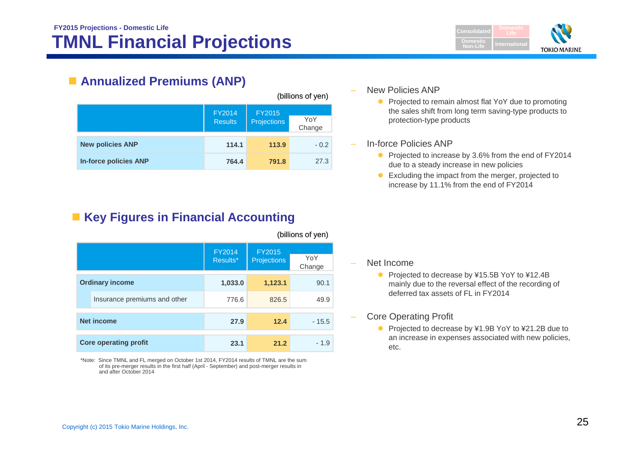

## **Annualized Premiums (ANP)**

|                              |                          |                              | (billions of yen) |
|------------------------------|--------------------------|------------------------------|-------------------|
|                              | FY2014<br><b>Results</b> | FY2015<br><b>Projections</b> | YoY<br>Change     |
| <b>New policies ANP</b>      | 114.1                    | 113.9                        | $-0.2$            |
| <b>In-force policies ANP</b> | 764.4                    | 791.8                        | 27.3              |

## **EXECTE:** Key Figures in Financial Accounting

|                              |               |                    | וויסע וט טוויווען |
|------------------------------|---------------|--------------------|-------------------|
|                              | <b>FY2014</b> | <b>FY2015</b>      |                   |
|                              | Results*      | <b>Projections</b> | YoY<br>Change     |
| <b>Ordinary income</b>       | 1,033.0       | 1,123.1            | 90.1              |
| Insurance premiums and other | 776.6         | 826.5              | 49.9              |
|                              |               |                    |                   |
| <b>Net income</b>            | 27.9          | 12.4               | $-15.5$           |
|                              |               |                    |                   |
| <b>Core operating profit</b> | 23.1          | 21.2               | $-1.9$            |
|                              |               |                    |                   |

\*Note: Since TMNL and FL merged on October 1st 2014, FY2014 results of TMNL are the sum of its pre-merger results in the first half (April - September) and post-merger results in and after October 2014

#### New Policies ANP

• Projected to remain almost flat YoY due to promoting the sales shift from long term saving-type products to protection-type products

#### In-force Policies ANP

- Projected to increase by 3.6% from the end of FY2014 due to a steady increase in new policies
- Excluding the impact from the merger, projected to increase by 11.1% from the end of FY2014

#### Net Income

(billions of yen)

- Projected to decrease by ¥15.5B YoY to ¥12.4B mainly due to the reversal effect of the recording of deferred tax assets of FL in FY2014
- Core Operating Profit
	- Projected to decrease by ¥1.9B YoY to ¥21.2B due to an increase in expenses associated with new policies, etc.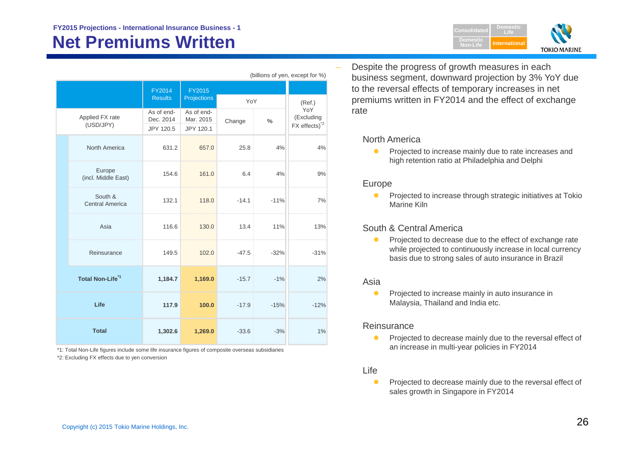| (billions of yen, except for %)   |                                      |                                      |         |        |                                               |
|-----------------------------------|--------------------------------------|--------------------------------------|---------|--------|-----------------------------------------------|
|                                   | FY2014<br><b>Results</b>             | FY2015<br>Projections                | YoY     |        | (Ref.)                                        |
| Applied FX rate<br>(USD/JPY)      | As of end-<br>Dec. 2014<br>JPY 120.5 | As of end-<br>Mar. 2015<br>JPY 120.1 | Change  | $\%$   | YoY<br>(Excluding<br>FX effects) <sup>2</sup> |
| North America                     | 631.2                                | 657.0                                | 25.8    | 4%     | 4%                                            |
| Europe<br>(incl. Middle East)     | 154.6                                | 161.0                                | 6.4     | 4%     | 9%                                            |
| South &<br><b>Central America</b> | 132.1                                | 118.0                                | $-14.1$ | $-11%$ | 7%                                            |
| Asia                              | 116.6                                | 130.0                                | 13.4    | 11%    | 13%                                           |
| Reinsurance                       | 149.5                                | 102.0                                | $-47.5$ | $-32%$ | $-31%$                                        |
| Total Non-Life <sup>*1</sup>      | 1,184.7                              | 1,169.0                              | $-15.7$ | $-1%$  | 2%                                            |
| Life                              | 117.9                                | 100.0                                | $-17.9$ | $-15%$ | $-12%$                                        |
| <b>Total</b>                      | 1,302.6                              | 1,269.0                              | $-33.6$ | $-3%$  | 1%                                            |

\*1: Total Non-Life figures include some life insurance figures of composite overseas subsidiaries

\*2: Excluding FX effects due to yen conversion

 Despite the progress of growth measures in each business segment, downward projection by 3% YoY due to the reversal effects of temporary increases in net premiums written in FY2014 and the effect of exchange rate

**Domestic Non-Life**

**DomesticLifeInternational**

**TOKIO MARINE** 

#### North America

 $\bullet$  Projected to increase mainly due to rate increases and high retention ratio at Philadelphia and Delphi

#### Europe

 $\bullet$  Projected to increase through strategic initiatives at Tokio Marine Kiln

#### South & Central America

 $\bullet$  Projected to decrease due to the effect of exchange rate while projected to continuously increase in local currency basis due to strong sales of auto insurance in Brazil

#### Asia

 $\bullet$  Projected to increase mainly in auto insurance in Malaysia, Thailand and India etc.

#### **Reinsurance**

 $\bullet$  Projected to decrease mainly due to the reversal effect of an increase in multi-year policies in FY2014

#### Life

 $\bullet$  Projected to decrease mainly due to the reversal effect of sales growth in Singapore in FY2014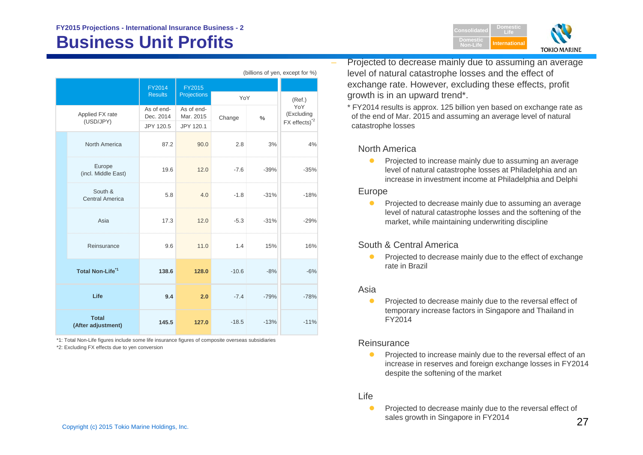|                                    | FY2014                  | <b>FY2015</b>           |         |        |                    |
|------------------------------------|-------------------------|-------------------------|---------|--------|--------------------|
|                                    | <b>Results</b>          | <b>Projections</b>      | YoY     |        | (Ref.)             |
| Applied FX rate<br>(USD/JPY)       | As of end-<br>Dec. 2014 | As of end-<br>Mar. 2015 | Change  | %      | YoY<br>(Excluding  |
|                                    | JPY 120.5               | JPY 120.1               |         |        | $FX$ effects) $^2$ |
| North America                      | 87.2                    | 90.0                    | 2.8     | 3%     | 4%                 |
| Europe<br>(incl. Middle East)      | 19.6                    | 12.0                    | $-7.6$  | $-39%$ | $-35%$             |
| South &<br><b>Central America</b>  | 5.8                     | 4.0                     | $-1.8$  | $-31%$ | $-18%$             |
| Asia                               | 17.3                    | 12.0                    | $-5.3$  | $-31%$ | $-29%$             |
| Reinsurance                        | 9.6                     | 11.0                    | 1.4     | 15%    | 16%                |
| Total Non-Life <sup>*1</sup>       | 138.6                   | 128.0                   | $-10.6$ | $-8%$  | $-6%$              |
| Life                               | 9.4                     | 2.0                     | $-7.4$  | $-79%$ | $-78%$             |
| <b>Total</b><br>(After adjustment) | 145.5                   | 127.0                   | $-18.5$ | $-13%$ | $-11%$             |

(billions of yen, except for %)

\*1: Total Non-Life figures include some life insurance figures of composite overseas subsidiaries

\*2: Excluding FX effects due to yen conversion



 Projected to decrease mainly due to assuming an average level of natural catastrophe losses and the effect of exchange rate. However, excluding these effects, profit growth is in an upward trend\*.

\* FY2014 results is approx. 125 billion yen based on exchange rate as of the end of Mar. 2015 and assuming an average level of natural catastrophe losses

#### North America

 $\bullet$  Projected to increase mainly due to assuming an average level of natural catastrophe losses at Philadelphia and an increase in investment income at Philadelphia and Delphi

#### Europe

 $\bullet$  Projected to decrease mainly due to assuming an average level of natural catastrophe losses and the softening of the market, while maintaining underwriting discipline

#### South & Central America

 $\bullet$  Projected to decrease mainly due to the effect of exchange rate in Brazil

#### Asia

 $\bullet$  Projected to decrease mainly due to the reversal effect of temporary increase factors in Singapore and Thailand in FY2014

#### **Reinsurance**

O Projected to increase mainly due to the reversal effect of an increase in reserves and foreign exchange losses in FY2014 despite the softening of the market

#### Life

 $\bullet$  Projected to decrease mainly due to the reversal effect of sales growth in Singapore in FY2014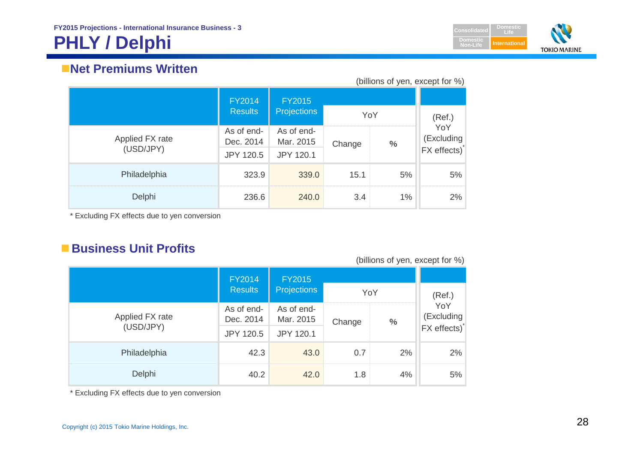## **PHLY / Delphi**



## **Net Premiums Written**

| (billions of yen, except for %) |                         |                         |        |      |                          |
|---------------------------------|-------------------------|-------------------------|--------|------|--------------------------|
|                                 | <b>FY2014</b>           | <b>FY2015</b>           |        |      |                          |
|                                 | <b>Results</b>          | <b>Projections</b>      |        | YoY  |                          |
| Applied FX rate<br>(USD/JPY)    | As of end-<br>Dec. 2014 | As of end-<br>Mar. 2015 | Change | $\%$ | YoY<br>(Excluding        |
|                                 | <b>JPY 120.5</b>        | <b>JPY 120.1</b>        |        |      | FX effects) <sup>*</sup> |
| Philadelphia                    | 323.9                   | 339.0                   | 15.1   | 5%   | 5%                       |
| Delphi                          | 236.6                   | 240.0                   | 3.4    | 1%   | 2%                       |

\* Excluding FX effects due to yen conversion

## **Business Unit Profits**

#### (billions of yen, except for %)

|                              | FY2014                  | <b>FY2015</b>           |        |     |                     |
|------------------------------|-------------------------|-------------------------|--------|-----|---------------------|
|                              | <b>Results</b>          | <b>Projections</b>      |        | YoY | (Ref.)              |
| Applied FX rate<br>(USD/JPY) | As of end-<br>Dec. 2014 | As of end-<br>Mar. 2015 | Change | %   | YoY<br>(Excluding   |
|                              | <b>JPY 120.5</b>        | <b>JPY 120.1</b>        |        |     | <b>FX</b> effects)* |
| Philadelphia                 | 42.3                    | 43.0                    | 0.7    | 2%  | 2%                  |
| Delphi                       | 40.2                    | 42.0                    | 1.8    | 4%  | $5\%$               |

\* Excluding FX effects due to yen conversion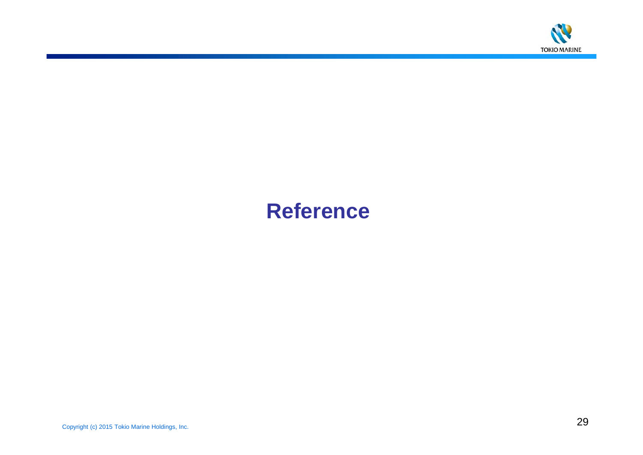

# **Reference**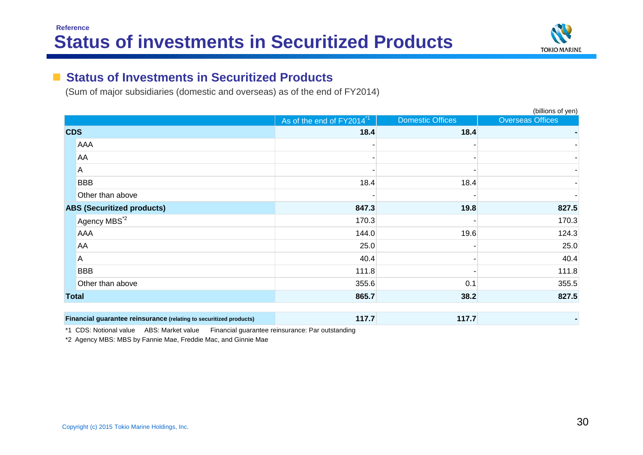

#### **The Second Second Status of Investments in Securitized Products**

(Sum of major subsidiaries (domestic and overseas) as of the end of FY2014)

|                                                                    |                                       |                         | (billions of yen)       |
|--------------------------------------------------------------------|---------------------------------------|-------------------------|-------------------------|
|                                                                    | As of the end of FY2014 <sup>*1</sup> | <b>Domestic Offices</b> | <b>Overseas Offices</b> |
| <b>CDS</b>                                                         | 18.4                                  | 18.4                    |                         |
| AAA                                                                |                                       |                         |                         |
| AA                                                                 |                                       |                         |                         |
| $\Lambda$                                                          |                                       |                         |                         |
| <b>BBB</b>                                                         | 18.4                                  | 18.4                    |                         |
| Other than above                                                   |                                       |                         |                         |
| <b>ABS (Securitized products)</b>                                  | 847.3                                 | 19.8                    | 827.5                   |
| Agency MBS <sup>*2</sup>                                           | 170.3                                 |                         | 170.3                   |
| AAA                                                                | 144.0                                 | 19.6                    | 124.3                   |
| AA                                                                 | 25.0                                  |                         | 25.0                    |
| A                                                                  | 40.4                                  |                         | 40.4                    |
| <b>BBB</b>                                                         | 111.8                                 |                         | 111.8                   |
| Other than above                                                   | 355.6                                 | 0.1                     | 355.5                   |
| <b>Total</b>                                                       | 865.7                                 | 38.2                    | 827.5                   |
| Financial guarantee reinsurance (relating to securitized products) | 117.7                                 | 117.7                   |                         |

\*1 CDS: Notional value ABS: Market value Financial guarantee reinsurance: Par outstanding

\*2 Agency MBS: MBS by Fannie Mae, Freddie Mac, and Ginnie Mae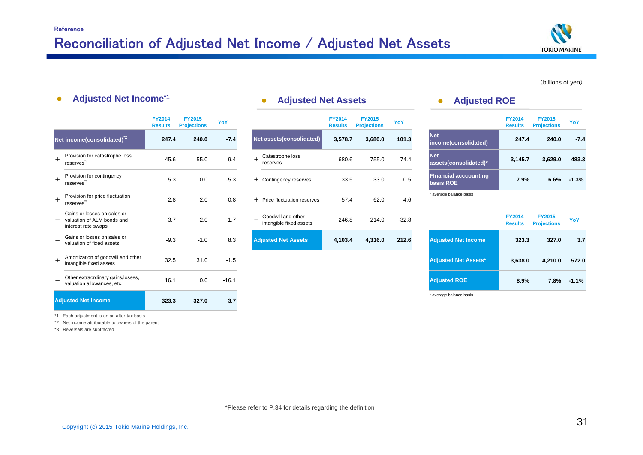

#### (billions of yen)

#### $\bullet$ **Adjusted Net Income\*1**

|     |                                                                                  | <b>FY2014</b><br><b>Results</b> | <b>FY2015</b><br><b>Projections</b> | YoY     |                                               | <b>FY2014</b><br><b>Results</b> | <b>FY2015</b><br><b>Projections</b> | YoY     |                                           | <b>FY2014</b><br><b>Results</b> | <b>FY2015</b><br><b>Projections</b> | YoY     |
|-----|----------------------------------------------------------------------------------|---------------------------------|-------------------------------------|---------|-----------------------------------------------|---------------------------------|-------------------------------------|---------|-------------------------------------------|---------------------------------|-------------------------------------|---------|
|     | Net income(consolidated) <sup>2</sup>                                            | 247.4                           | 240.0                               | $-7.4$  | Net assets(consolidated)                      | 3,578.7                         | 3,680.0                             | 101.3   | <b>Net</b><br>income(consolidated)        | 247.4                           | 240.0                               | $-7.4$  |
| $+$ | Provision for catastrophe loss<br>reserves <sup>*3</sup>                         | 45.6                            | 55.0                                | 9.4     | Catastrophe loss<br>reserves                  | 680.6                           | 755.0                               | 74.4    | <b>Net</b><br>assets(consolidated)*       | 3,145.7                         | 3,629.0                             | 483.3   |
| $+$ | Provision for contingency<br>reserves <sup>*3</sup>                              | 5.3                             | 0.0                                 | $-5.3$  | + Contingency reserves                        | 33.5                            | 33.0                                | $-0.5$  | <b>Financial acccounting</b><br>basis ROE | 7.9%                            | 6.6%                                | $-1.3%$ |
| $+$ | Provision for price fluctuation<br>reserves <sup>3</sup>                         | 2.8                             | 2.0                                 | $-0.8$  | + Price fluctuation reserves                  | 57.4                            | 62.0                                | 4.6     | * average balance basis                   |                                 |                                     |         |
|     | Gains or losses on sales or<br>valuation of ALM bonds and<br>interest rate swaps | 3.7                             | 2.0                                 | $-1.7$  | Goodwill and other<br>intangible fixed assets | 246.8                           | 214.0                               | $-32.8$ |                                           | <b>FY2014</b><br><b>Results</b> | <b>FY2015</b><br><b>Projections</b> | YoY     |
|     | Gains or losses on sales or<br>valuation of fixed assets                         | $-9.3$                          | $-1.0$                              | 8.3     | <b>Adjusted Net Assets</b>                    | 4,103.4                         | 4,316.0                             | 212.6   | <b>Adjusted Net Income</b>                | 323.3                           | 327.0                               | 3.7     |
| $+$ | Amortization of goodwill and other<br>intangible fixed assets                    | 32.5                            | 31.0                                | $-1.5$  |                                               |                                 |                                     |         | <b>Adjusted Net Assets*</b>               | 3,638.0                         | 4,210.0                             | 572.0   |
|     | Other extraordinary gains/losses,<br>valuation allowances, etc.                  | 16.1                            | 0.0                                 | $-16.1$ |                                               |                                 |                                     |         | <b>Adjusted ROE</b>                       | 8.9%                            | 7.8%                                | $-1.1%$ |
|     | <b>Adjusted Net Income</b>                                                       | 323.3                           | 327.0                               | 3.7     |                                               |                                 |                                     |         | * average balance basis                   |                                 |                                     |         |

### **Adjusted Net Assets • Adjusted ROE**

|                | <b>FY2014</b><br><b>Results</b> | <b>FY2015</b><br><b>Projections</b> | YoY    |     |                                               | <b>FY2014</b><br><b>Results</b> | <b>FY2015</b><br><b>Projections</b> | YoY     |                                           | <b>FY2014</b><br><b>Results</b> | <b>FY2015</b><br><b>Projections</b> | YoY     |
|----------------|---------------------------------|-------------------------------------|--------|-----|-----------------------------------------------|---------------------------------|-------------------------------------|---------|-------------------------------------------|---------------------------------|-------------------------------------|---------|
| $sd)^{2}$      | 247.4                           | 240.0                               | $-7.4$ |     | Net assets(consolidated)                      | 3,578.7                         | 3,680.0                             | 101.3   | <b>Net</b><br>income(consolidated)        | 247.4                           | 240.0                               | $-7.4$  |
| e loss         | 45.6                            | 55.0                                | 9.4    | $+$ | Catastrophe loss<br>reserves                  | 680.6                           | 755.0                               | 74.4    | <b>Net</b><br>assets(consolidated)*       | 3,145.7                         | 3,629.0                             | 483.3   |
| СV             | 5.3                             | 0.0                                 | $-5.3$ |     | + Contingency reserves                        | 33.5                            | 33.0                                | $-0.5$  | <b>Financial acccounting</b><br>basis ROE | 7.9%                            | 6.6%                                | $-1.3%$ |
| uation         | 2.8                             | 2.0                                 | $-0.8$ |     | + Price fluctuation reserves                  | 57.4                            | 62.0                                | 4.6     | * average balance basis                   |                                 |                                     |         |
| es or<br>s and | 3.7                             | 2.0                                 | $-1.7$ |     | Goodwill and other<br>intangible fixed assets | 246.8                           | 214.0                               | $-32.8$ |                                           | <b>FY2014</b><br><b>Results</b> | <b>FY2015</b><br><b>Projections</b> | YoY     |
| es or<br>s     | $-9.3$                          | $-1.0$                              | 8.3    |     | <b>Adjusted Net Assets</b>                    | 4,103.4                         | 4,316.0                             | 212.6   | <b>Adjusted Net Income</b>                | 323.3                           | 327.0                               | 3.7     |

|                                           | <b>FY2014</b><br><b>Results</b> | <b>FY2015</b><br><b>Projections</b> | YoY     |
|-------------------------------------------|---------------------------------|-------------------------------------|---------|
| <b>Net</b><br>income(consolidated)        | 247.4                           | 240.0                               | $-7.4$  |
| <b>Net</b><br>assets(consolidated)*       | 3,145.7                         | 3,629.0                             | 483.3   |
| <b>Financial acccounting</b><br>basis ROE | 7.9%                            | 6.6%                                | $-1.3%$ |
| average balance basis                     |                                 |                                     |         |

|                             | <b>FY2014</b><br><b>Results</b> | <b>FY2015</b><br><b>Projections</b> | YoY     |
|-----------------------------|---------------------------------|-------------------------------------|---------|
| <b>Adjusted Net Income</b>  | 323.3                           | 327.0                               | 3.7     |
| <b>Adjusted Net Assets*</b> | 3,638.0                         | 4,210.0                             | 572.0   |
| <b>Adjusted ROE</b>         | 8.9%                            | 7.8%                                | $-1.1%$ |

\*1 Each adjustment is on an after-tax basis

\*2 Net income attributable to owners of the parent

\*3 Reversals are subtracted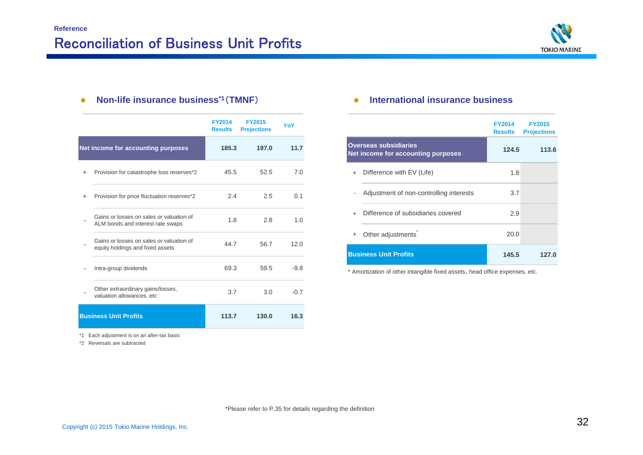

#### $\bullet$ **Non-life insurance business\*1**(**TMNF**) **International insurance business**

|           |                                                                               | <b>FY2014</b><br><b>Results</b> | <b>FY2015</b><br><b>Projections</b> | YoY    |
|-----------|-------------------------------------------------------------------------------|---------------------------------|-------------------------------------|--------|
|           | Net income for accounting purposes                                            | 185.3                           | 197.0                               | 11.7   |
| $+$       | Provision for catastrophe loss reserves*2                                     | 45.5                            | 52.5                                | 7.0    |
| $\ddot{}$ | Provision for price fluctuation reserves*2                                    | 2.4                             | 2.5                                 | 0.1    |
|           | Gains or losses on sales or valuation of<br>ALM bonds and interest rate swaps | 1.8                             | 2.8                                 | 1.0    |
|           | Gains or losses on sales or valuation of<br>equity holdings and fixed assets  | 44.7                            | 56.7                                | 12.0   |
|           | Intra-group dividends                                                         | 69.3                            | 59.5                                | $-9.8$ |
|           | Other extraordinary gains/losses,<br>valuation allowances, etc                | 3.7                             | 3.0                                 | $-0.7$ |
|           | <b>Business Unit Profits</b>                                                  | 113.7                           | 130.0                               | 16.3   |

|     |                                                                    | <b>FY2014</b><br><b>Results</b> | <b>FY2015</b><br><b>Projections</b> |
|-----|--------------------------------------------------------------------|---------------------------------|-------------------------------------|
|     | <b>Overseas subsidiaries</b><br>Net income for accounting purposes | 124.5                           | 113.6                               |
| $+$ | Difference with EV (Life)                                          | 1.8                             |                                     |
|     | Adjustment of non-controlling interests                            | 3.7                             |                                     |
|     | Difference of subsidiaries covered                                 | 2.9                             |                                     |
| ÷   | Other adjustments                                                  | 20.0                            |                                     |
|     | <b>Business Unit Profits</b>                                       | 145.5                           | 127.0                               |

\* Amortization of other intangible fixed assets、head office expenses, etc.

\*1 Each adjustment is on an after-tax basis

\*2 Reversals are subtracted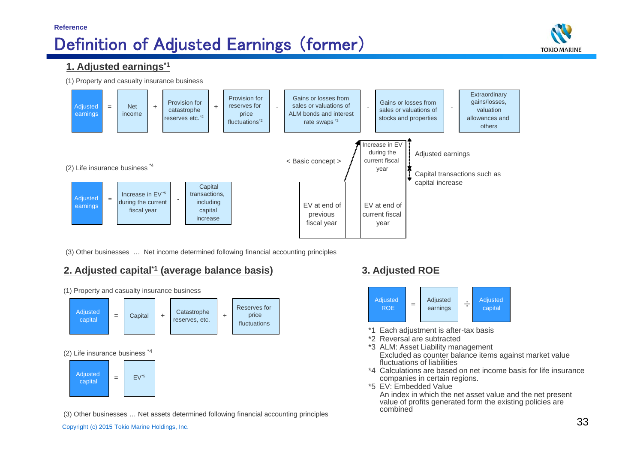#### **Reference**

# Definition of Adjusted Earnings (former)



### **1. Adjusted earnings\*1**

(1) Property and casualty insurance business



(3) Other businesses … Net income determined following financial accounting principles

### **2. Adjusted capital\*1 (average balance basis) 3. Adjusted ROE**



(1) Property and casualty insurance business

#### (3) Other businesses … Net assets determined following financial accounting principles



- \*1 Each adjustment is after-tax basis
- \*2 Reversal are subtracted
- \*3 ALM: Asset Liability management Excluded as counter balance items against market value fluctuations of liabilities
- \*4 Calculations are based on net income basis for life insurance companies in certain regions.
- \*5 EV: Embedded Value

An index in which the net asset value and the net present value of profits generated form the existing policies are combined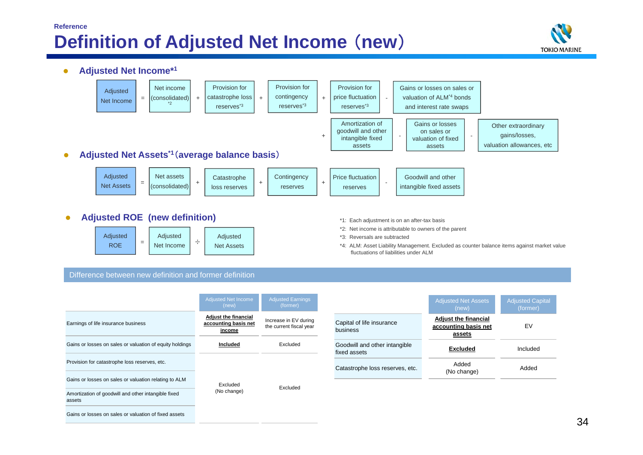## **Reference Definition of Adjusted Net Income** (**new**)









- \*1: Each adjustment is on an after-tax basis
- \*2: Net income is attributable to owners of the parent
- \*3: Reversals are subtracted
- \*4: ALM: Asset Liability Management. Excluded as counter balance items against market value fluctuations of liabilities under ALM

#### Difference between new definition and former definition

|                                                               | <b>Adjusted Net Income</b><br>(new)                           | <b>Adjusted Earnings</b><br>(former)             |                                               | <b>Adjusted Net Assets</b><br>(new)                           | Adjusted Capital<br>(former) |
|---------------------------------------------------------------|---------------------------------------------------------------|--------------------------------------------------|-----------------------------------------------|---------------------------------------------------------------|------------------------------|
| Earnings of life insurance business                           | <b>Adjust the financial</b><br>accounting basis net<br>income | Increase in EV during<br>the current fiscal year | Capital of life insurance<br>business         | <b>Adjust the financial</b><br>accounting basis net<br>assets | EV                           |
| Gains or losses on sales or valuation of equity holdings      | Included                                                      | Excluded                                         | Goodwill and other intangible<br>fixed assets | <b>Excluded</b>                                               | Included                     |
| Provision for catastrophe loss reserves, etc.                 |                                                               |                                                  | Catastrophe loss reserves, etc.               | Added                                                         | Added                        |
| Gains or losses on sales or valuation relating to ALM         | Excluded                                                      |                                                  |                                               | (No change)                                                   |                              |
| Amortization of goodwill and other intangible fixed<br>assets | (No change)                                                   | Excluded                                         |                                               |                                                               |                              |
| Gains or losses on sales or valuation of fixed assets         |                                                               |                                                  |                                               |                                                               |                              |

|                                               | <b>Adjusted Net Assets</b><br>(new)                           | <b>Adjusted Capital</b><br>(former) |
|-----------------------------------------------|---------------------------------------------------------------|-------------------------------------|
| Capital of life insurance<br>business         | <b>Adjust the financial</b><br>accounting basis net<br>assets | FV                                  |
| Goodwill and other intangible<br>fixed assets | <b>Excluded</b>                                               | Included                            |
| Catastrophe loss reserves, etc.               | Added<br>(No change)                                          | hebbA                               |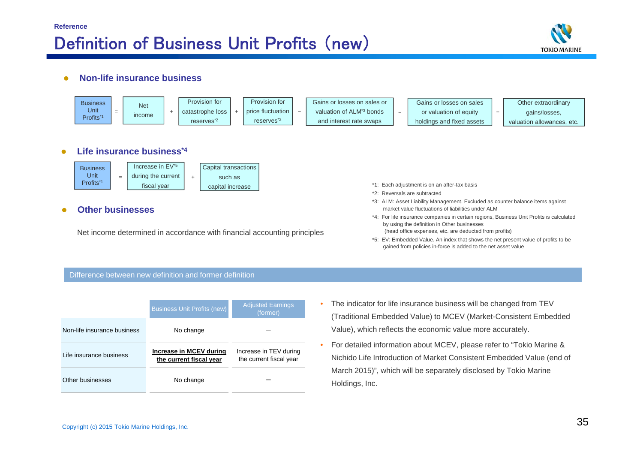

#### $\bullet$ **Non-life insurance business**



#### Difference between new definition and former definition

|                             | <b>Business Unit Profits (new)</b> | <b>Adjusted Earnings</b><br>(former) |
|-----------------------------|------------------------------------|--------------------------------------|
| Non-life insurance business | No change                          |                                      |
| Life insurance business     | Increase in MCEV during            | Increase in TEV during               |
|                             | the current fiscal year            | the current fiscal year              |

- • The indicator for life insurance business will be changed from TEV (Traditional Embedded Value) to MCEV (Market-Consistent Embedded Value), which reflects the economic value more accurately.
- • For detailed information about MCEV, please refer to "Tokio Marine & Nichido Life Introduction of Market Consistent Embedded Value (end of March 2015)", which will be separately disclosed by Tokio Marine Holdings, Inc.